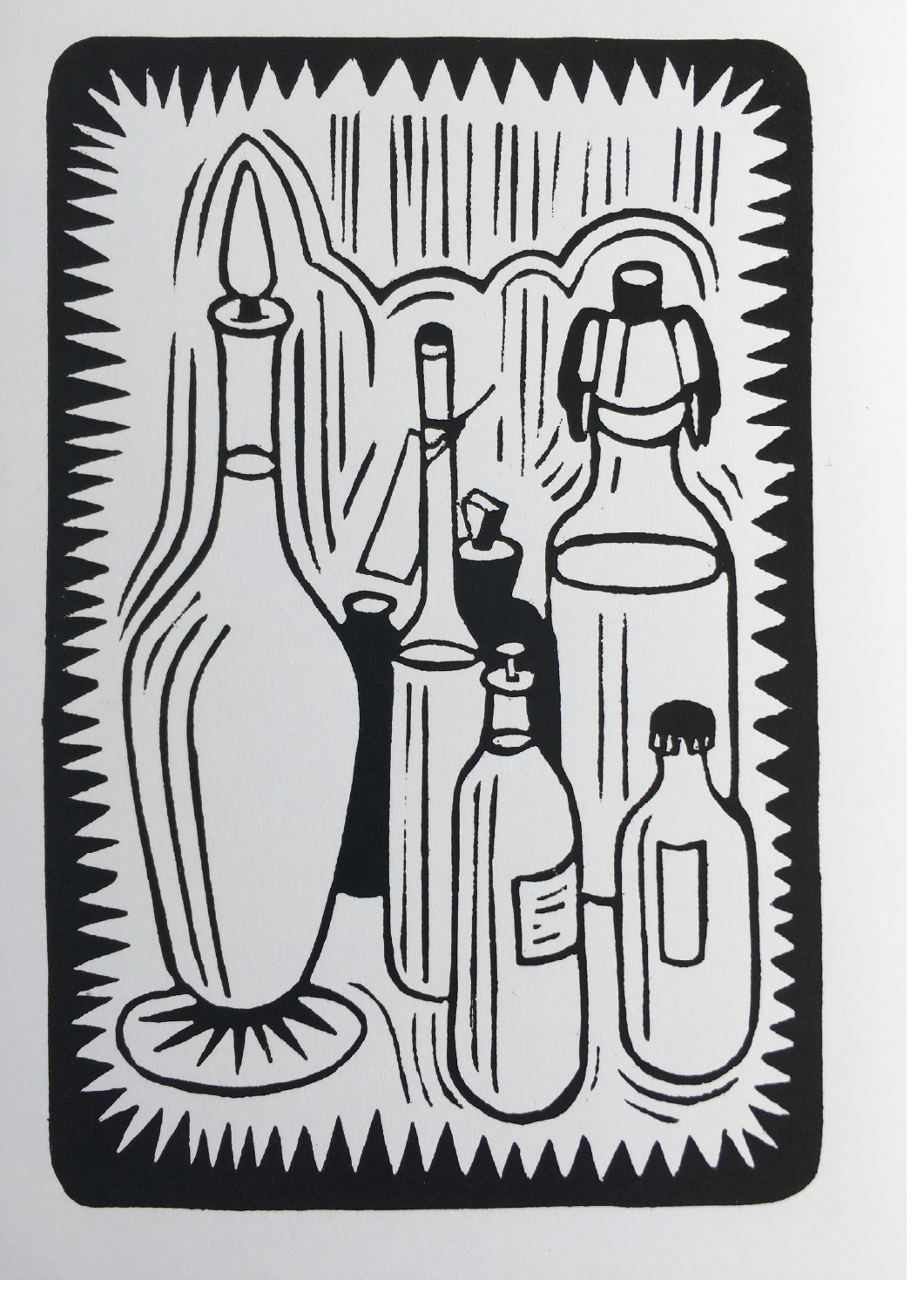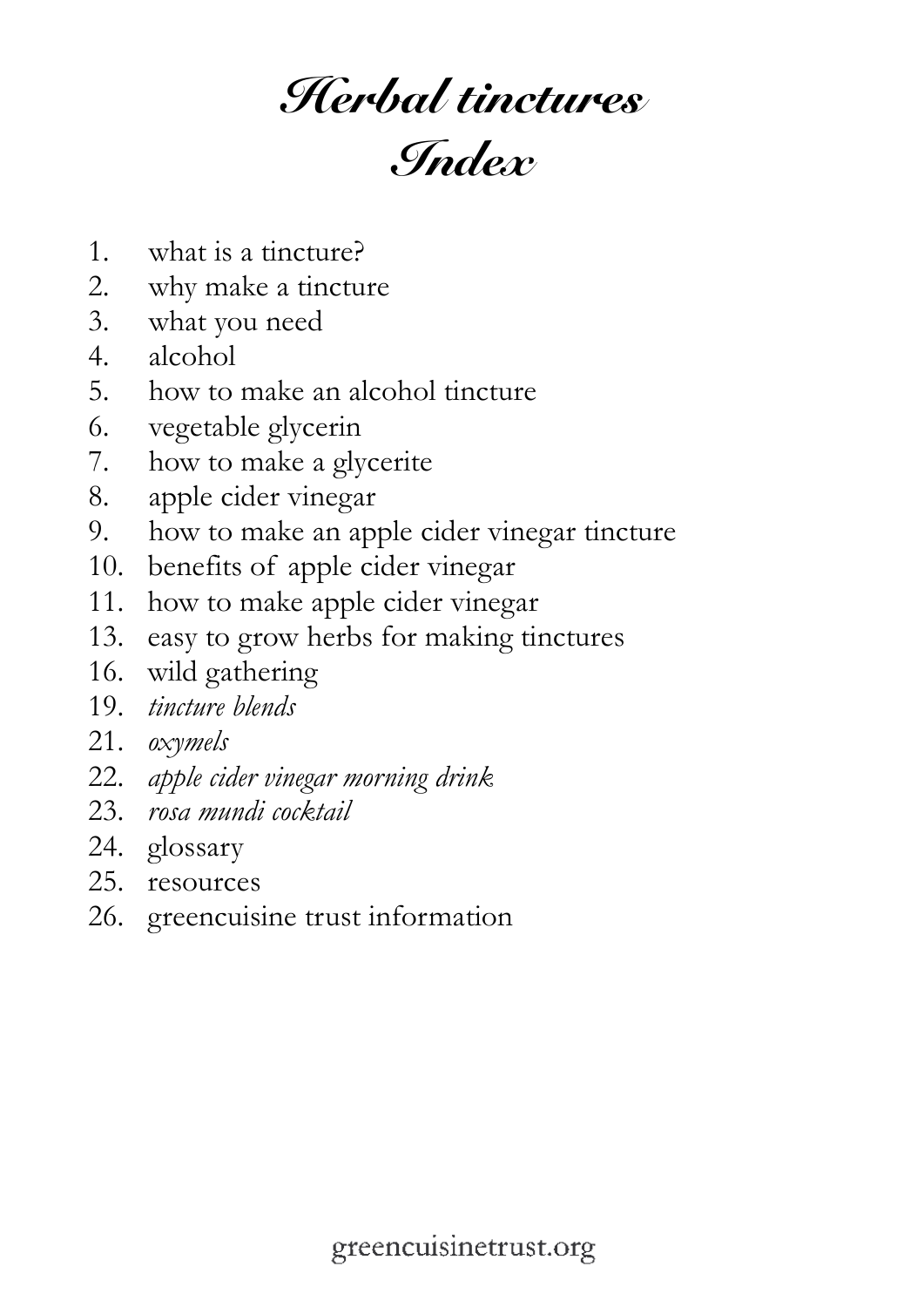Herbal tinctures Index

- 1. what is a tincture?
- 2. why make a tincture
- 3. what you need
- 4. alcohol
- 5. how to make an alcohol tincture
- 6. vegetable glycerin
- 7. how to make a glycerite
- 8. apple cider vinegar
- 9. how to make an apple cider vinegar tincture
- 10. benefits of apple cider vinegar
- 11. how to make apple cider vinegar
- 13. easy to grow herbs for making tinctures
- 16. wild gathering
- 19. tincture blends
- 21. oxymels
- 22. apple cider vinegar morning drink
- 23. rosa mundi cocktail
- 24. glossary
- 25. resources
- 26. greencuisine trust information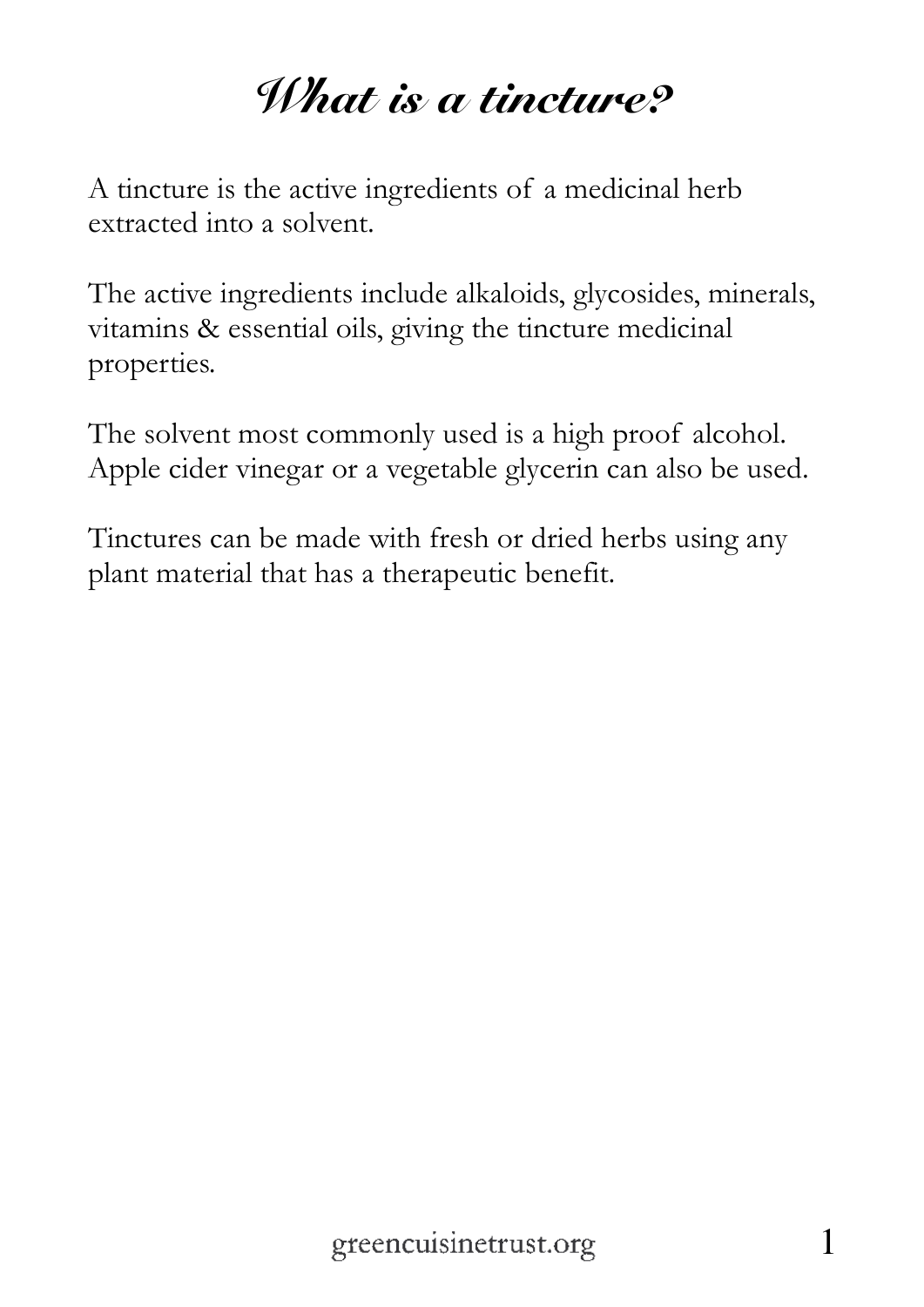# What is a tincture?

A tincture is the active ingredients of a medicinal herb extracted into a solvent.

The active ingredients include alkaloids, glycosides, minerals, vitamins & essential oils, giving the tincture medicinal properties.

The solvent most commonly used is a high proof alcohol. Apple cider vinegar or a vegetable glycerin can also be used.

Tinctures can be made with fresh or dried herbs using any plant material that has a therapeutic benefit.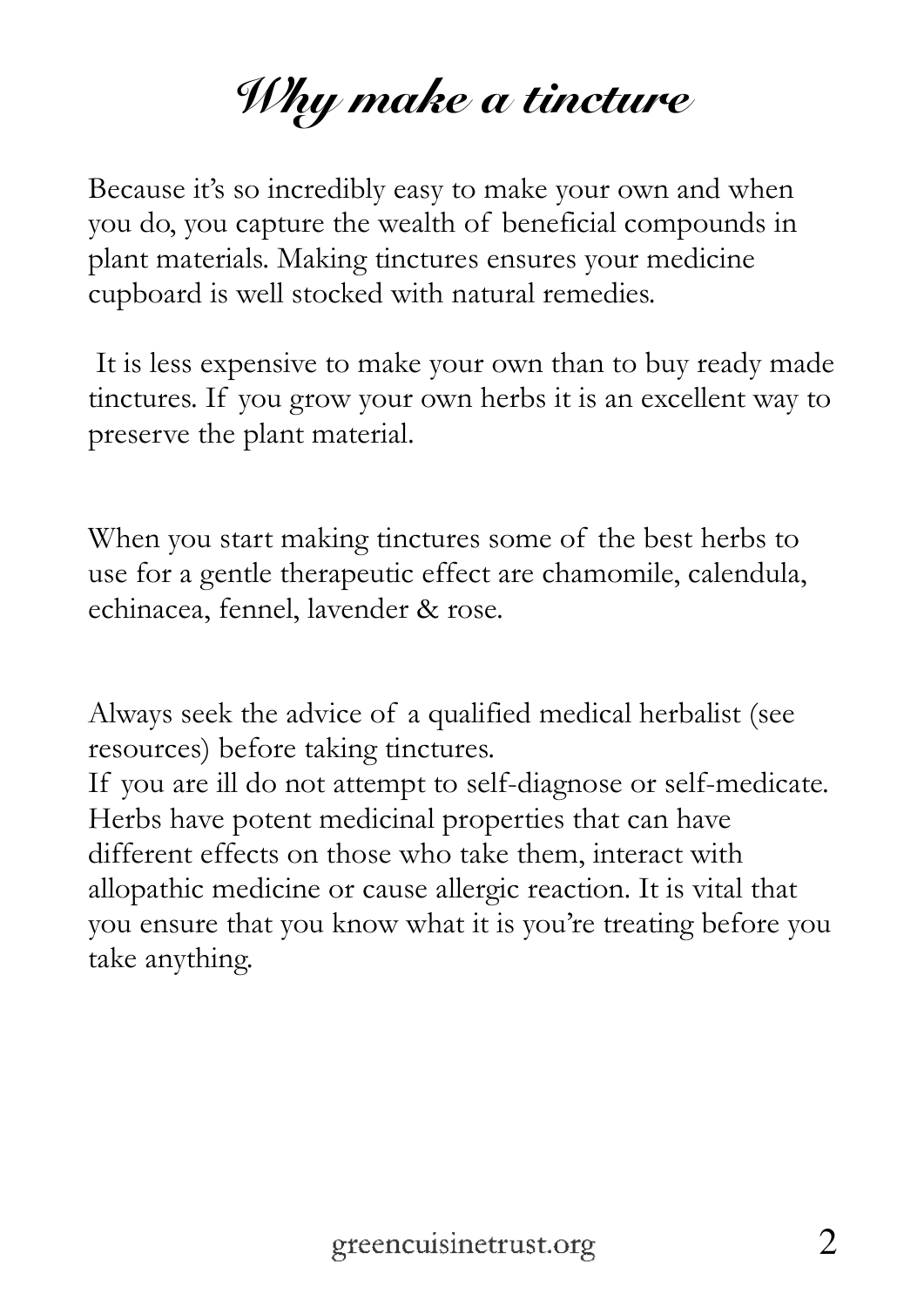# Why make a tincture

Because it's so incredibly easy to make your own and when you do, you capture the wealth of beneficial compounds in plant materials. Making tinctures ensures your medicine cupboard is well stocked with natural remedies.

 It is less expensive to make your own than to buy ready made tinctures. If you grow your own herbs it is an excellent way to preserve the plant material.

When you start making tinctures some of the best herbs to use for a gentle therapeutic effect are chamomile, calendula, echinacea, fennel, lavender & rose.

Always seek the advice of a qualified medical herbalist (see resources) before taking tinctures.

If you are ill do not attempt to self-diagnose or self-medicate. Herbs have potent medicinal properties that can have different effects on those who take them, interact with allopathic medicine or cause allergic reaction. It is vital that you ensure that you know what it is you're treating before you take anything.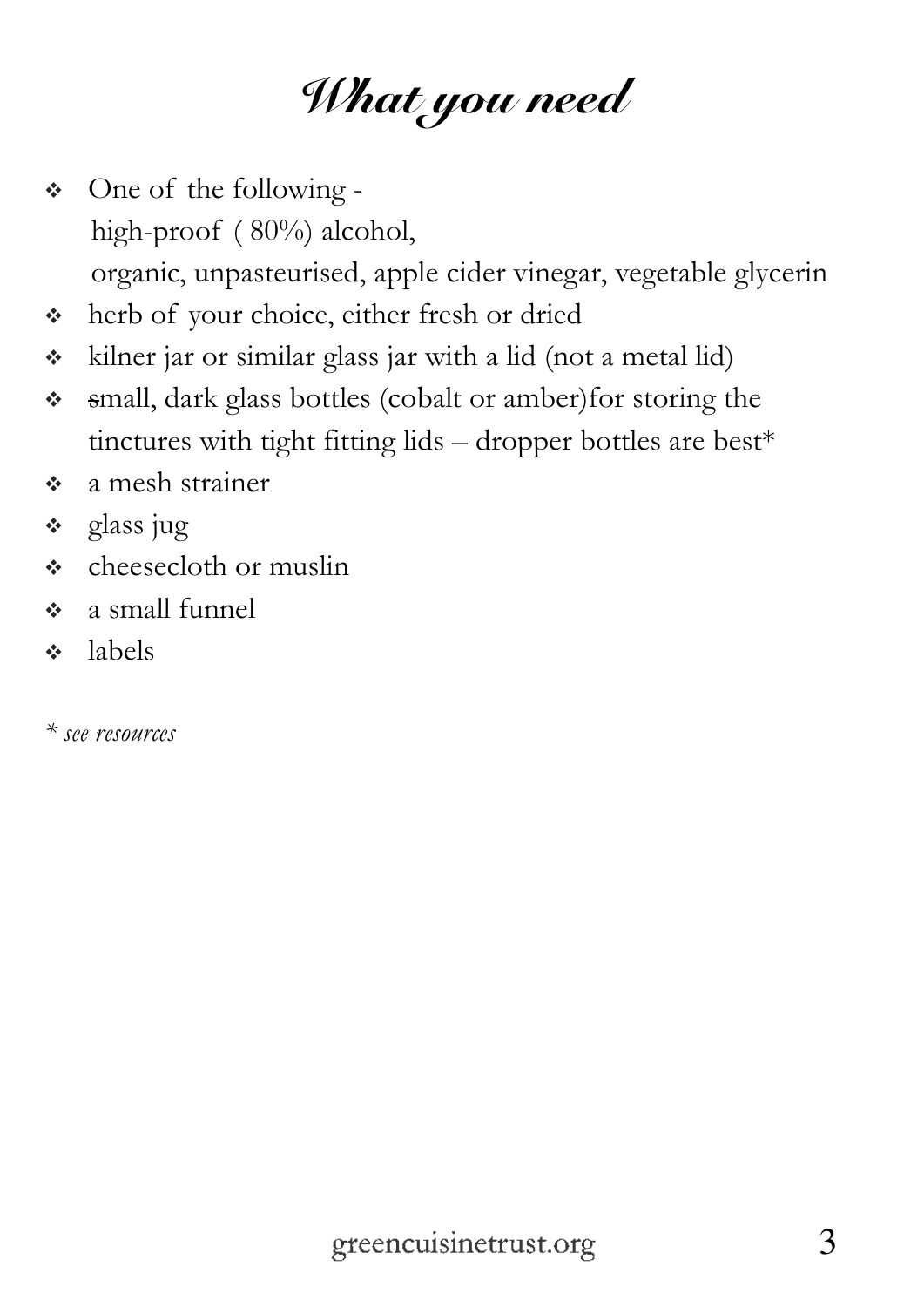# What you need

- One of the following high-proof ( 80%) alcohol, organic, unpasteurised, apple cider vinegar, vegetable glycerin
- herb of your choice, either fresh or dried
- $\bullet$  kilner jar or similar glass jar with a lid (not a metal lid)
- small, dark glass bottles (cobalt or amber)for storing the tinctures with tight fitting lids – dropper bottles are best\*
- a mesh strainer
- glass jug
- cheesecloth or muslin
- a small funnel
- labels

\* see resources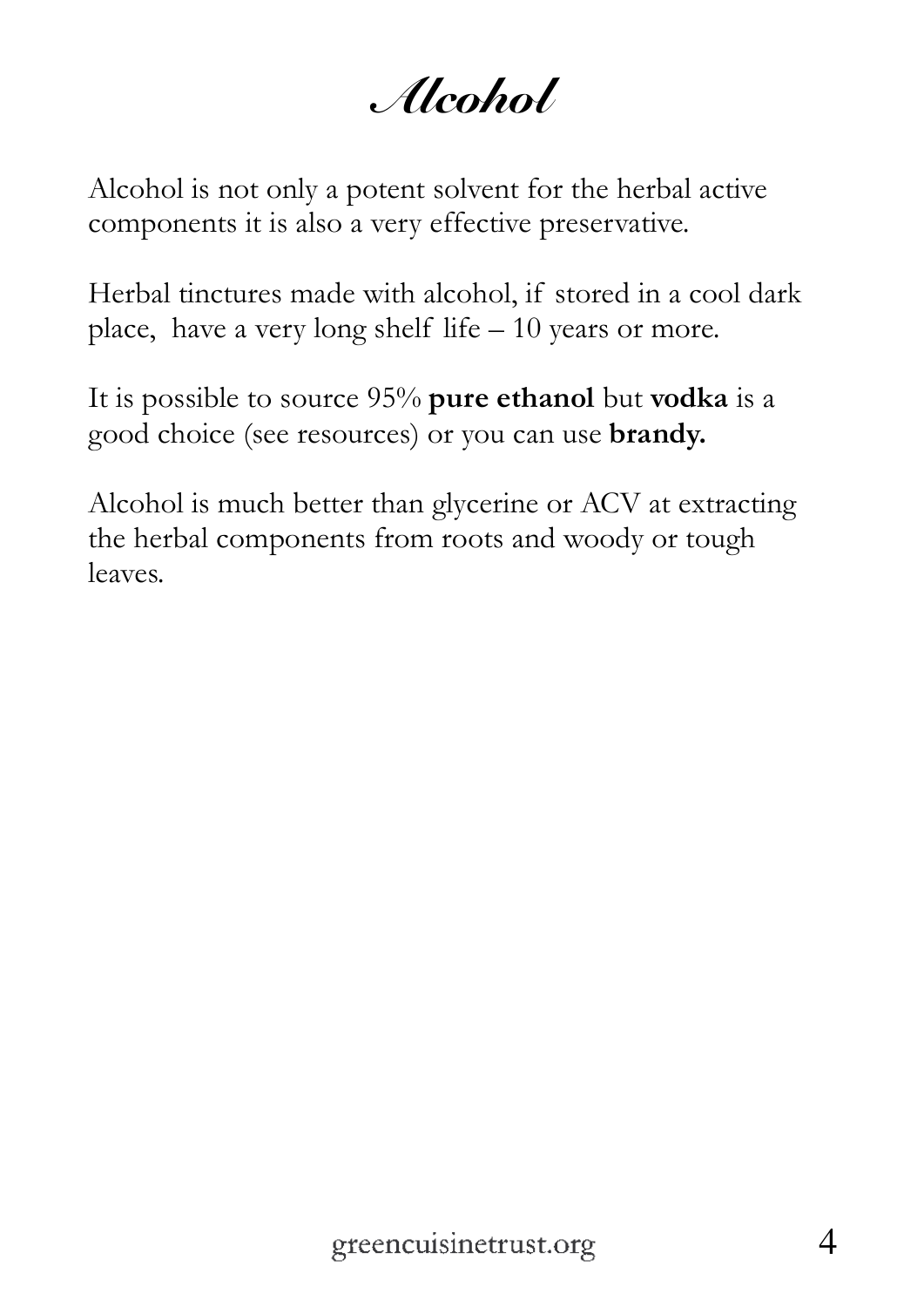Alcohol

Alcohol is not only a potent solvent for the herbal active components it is also a very effective preservative.

Herbal tinctures made with alcohol, if stored in a cool dark place, have a very long shelf life – 10 years or more.

It is possible to source 95% pure ethanol but vodka is a good choice (see resources) or you can use brandy.

Alcohol is much better than glycerine or ACV at extracting the herbal components from roots and woody or tough leaves.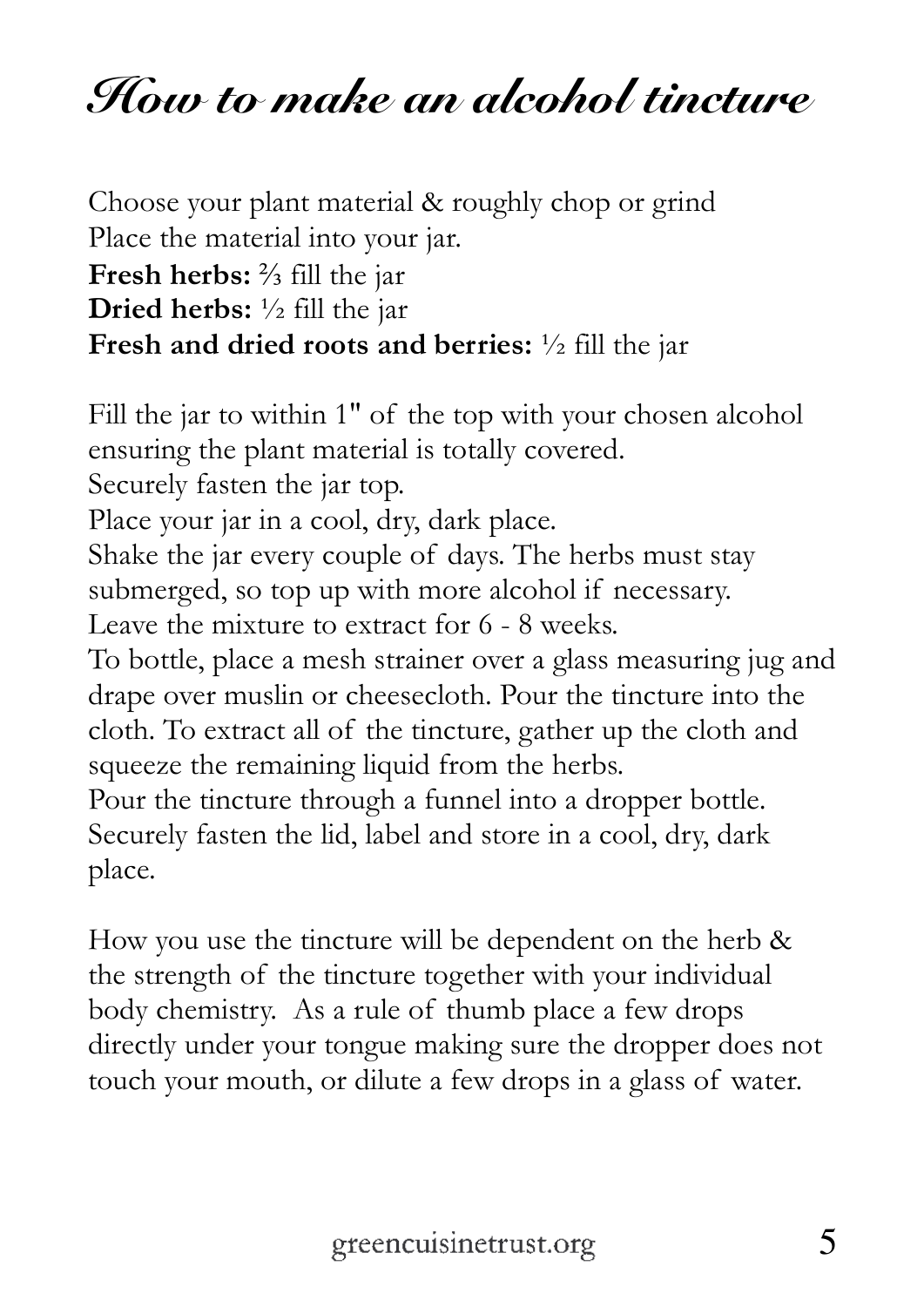# How to make an alcohol tincture

Choose your plant material & roughly chop or grind Place the material into your jar. Fresh herbs: ⅔ fill the jar Dried herbs: ½ fill the jar Fresh and dried roots and berries: 1/2 fill the jar

Fill the jar to within 1" of the top with your chosen alcohol ensuring the plant material is totally covered. Securely fasten the jar top. Place your jar in a cool, dry, dark place. Shake the jar every couple of days. The herbs must stay submerged, so top up with more alcohol if necessary. Leave the mixture to extract for 6 - 8 weeks. To bottle, place a mesh strainer over a glass measuring jug and drape over muslin or cheesecloth. Pour the tincture into the cloth. To extract all of the tincture, gather up the cloth and squeeze the remaining liquid from the herbs. Pour the tincture through a funnel into a dropper bottle. Securely fasten the lid, label and store in a cool, dry, dark place.

How you use the tincture will be dependent on the herb & the strength of the tincture together with your individual body chemistry. As a rule of thumb place a few drops directly under your tongue making sure the dropper does not touch your mouth, or dilute a few drops in a glass of water.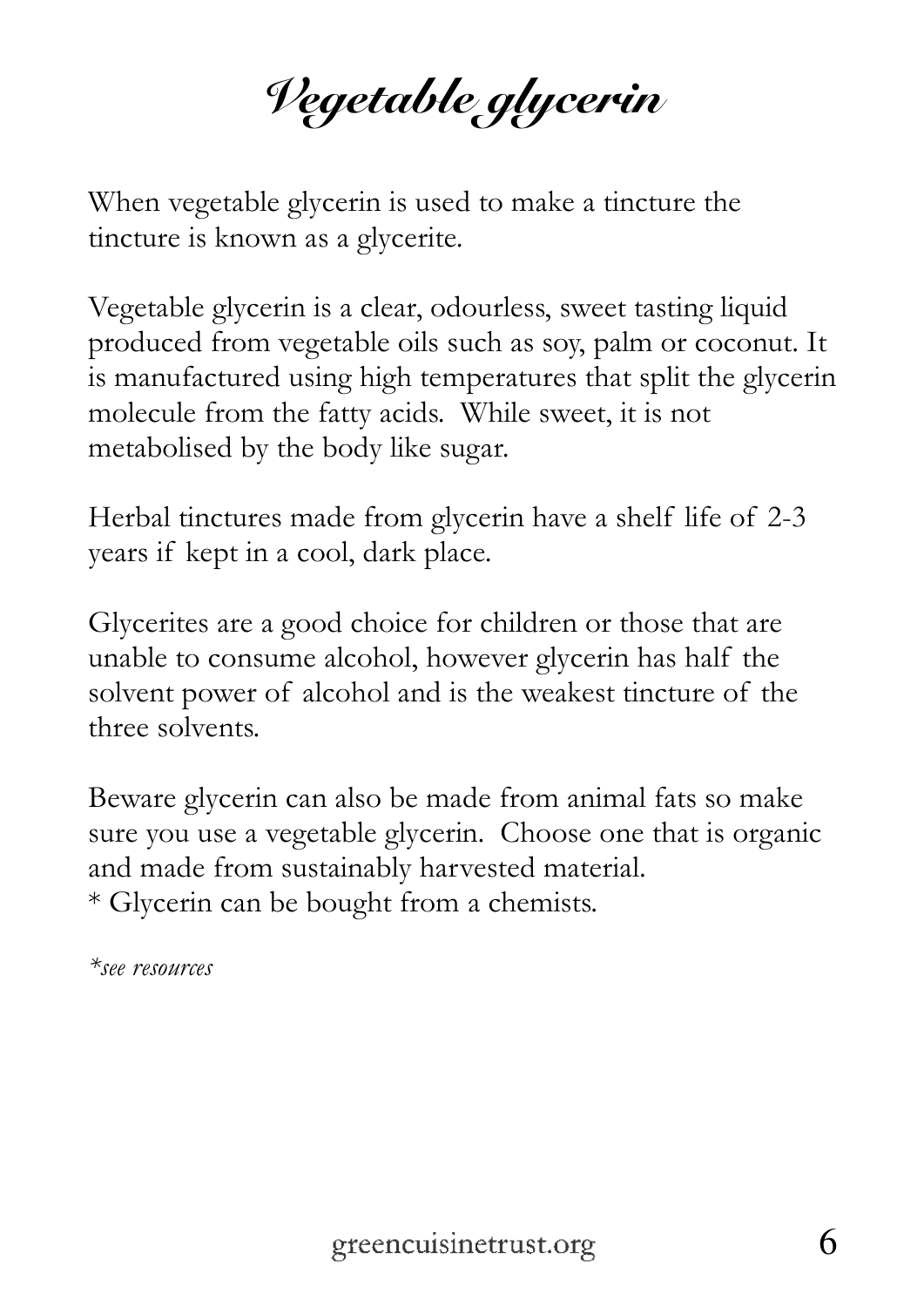Vegetable glycerin

When vegetable glycerin is used to make a tincture the tincture is known as a glycerite.

Vegetable glycerin is a clear, odourless, sweet tasting liquid produced from vegetable oils such as soy, palm or coconut. It is manufactured using high temperatures that split the glycerin molecule from the fatty acids. While sweet, it is not metabolised by the body like sugar.

Herbal tinctures made from glycerin have a shelf life of 2-3 years if kept in a cool, dark place.

Glycerites are a good choice for children or those that are unable to consume alcohol, however glycerin has half the solvent power of alcohol and is the weakest tincture of the three solvents.

Beware glycerin can also be made from animal fats so make sure you use a vegetable glycerin. Choose one that is organic and made from sustainably harvested material. \* Glycerin can be bought from a chemists.

\*see resources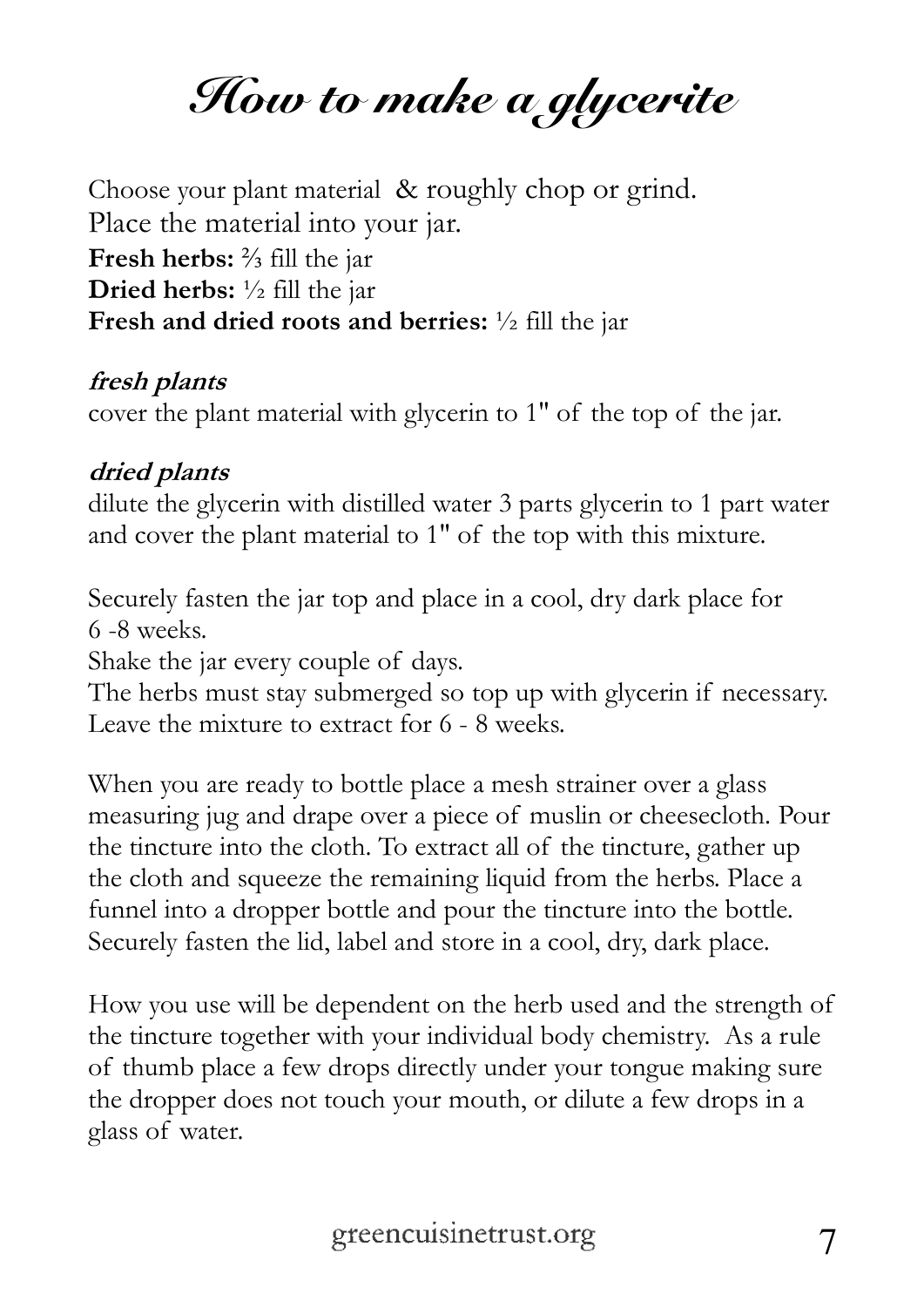How to make a glycerite

Choose your plant material & roughly chop or grind. Place the material into your jar. Fresh herbs: ⅔ fill the jar Dried herbs: ½ fill the jar Fresh and dried roots and berries: ½ fill the jar

#### fresh plants

cover the plant material with glycerin to 1" of the top of the jar.

#### dried plants

dilute the glycerin with distilled water 3 parts glycerin to 1 part water and cover the plant material to 1" of the top with this mixture.

Securely fasten the jar top and place in a cool, dry dark place for 6 -8 weeks.

Shake the jar every couple of days.

The herbs must stay submerged so top up with glycerin if necessary. Leave the mixture to extract for 6 - 8 weeks.

When you are ready to bottle place a mesh strainer over a glass measuring jug and drape over a piece of muslin or cheesecloth. Pour the tincture into the cloth. To extract all of the tincture, gather up the cloth and squeeze the remaining liquid from the herbs. Place a funnel into a dropper bottle and pour the tincture into the bottle. Securely fasten the lid, label and store in a cool, dry, dark place.

How you use will be dependent on the herb used and the strength of the tincture together with your individual body chemistry. As a rule of thumb place a few drops directly under your tongue making sure the dropper does not touch your mouth, or dilute a few drops in a glass of water.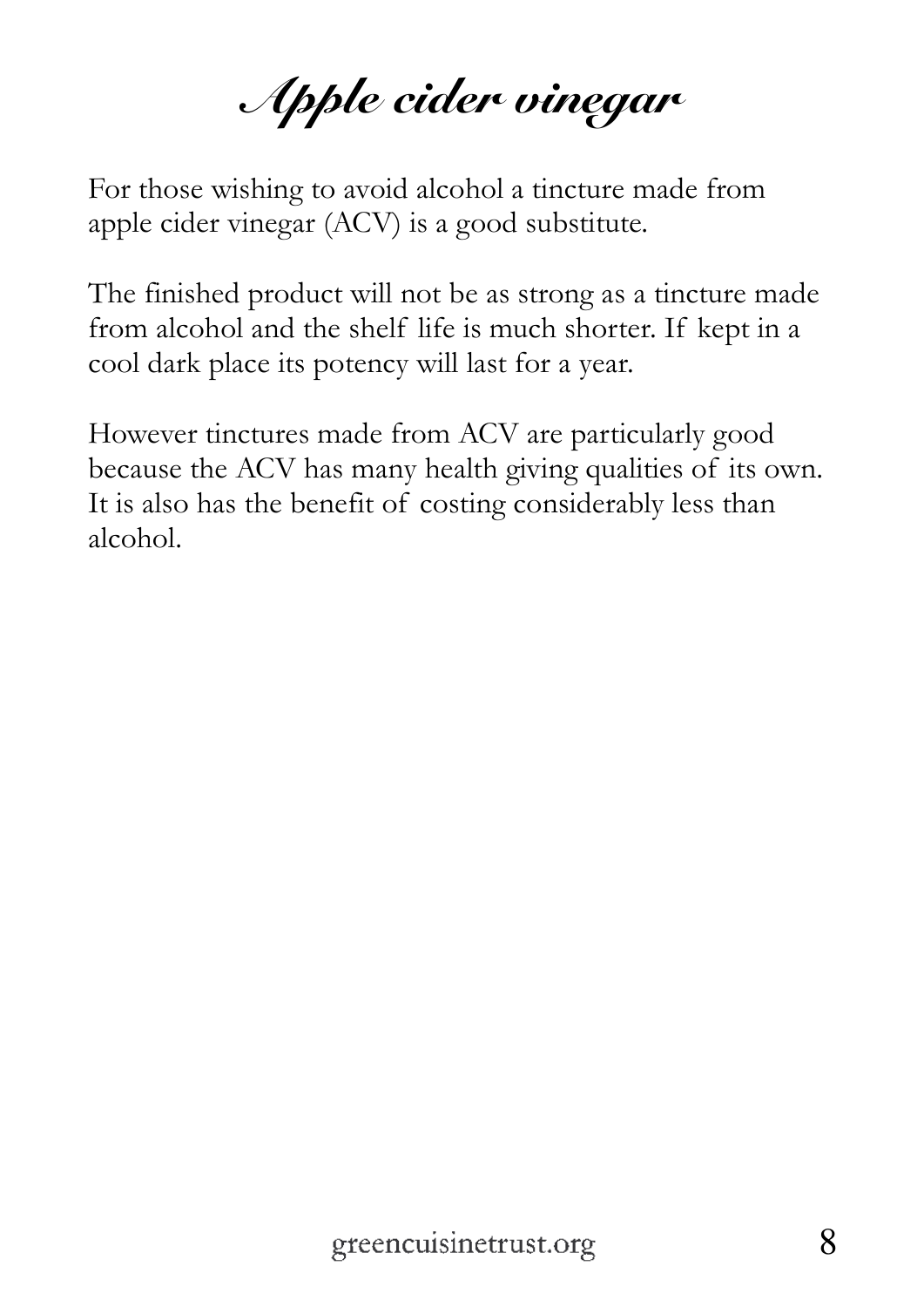Apple cider vinegar

For those wishing to avoid alcohol a tincture made from apple cider vinegar (ACV) is a good substitute.

The finished product will not be as strong as a tincture made from alcohol and the shelf life is much shorter. If kept in a cool dark place its potency will last for a year.

However tinctures made from ACV are particularly good because the ACV has many health giving qualities of its own. It is also has the benefit of costing considerably less than alcohol.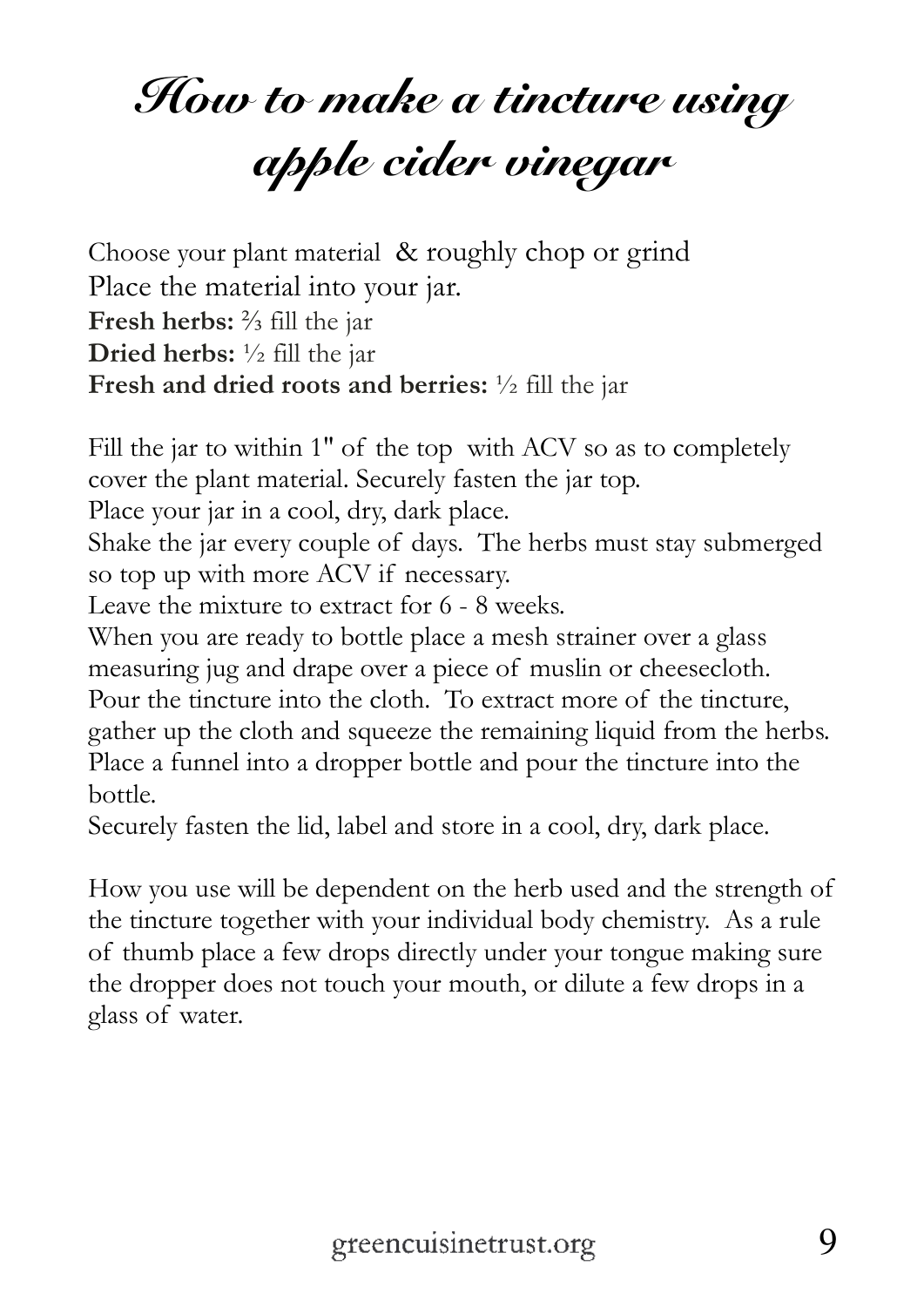# How to make a tincture using apple cider vinegar

Choose your plant material & roughly chop or grind Place the material into your jar. Fresh herbs: ⅔ fill the jar Dried herbs: ½ fill the jar Fresh and dried roots and berries:  $\frac{1}{2}$  fill the jar

Fill the jar to within 1" of the top with ACV so as to completely cover the plant material. Securely fasten the jar top. Place your jar in a cool, dry, dark place.

Shake the jar every couple of days. The herbs must stay submerged so top up with more ACV if necessary.

Leave the mixture to extract for 6 - 8 weeks.

When you are ready to bottle place a mesh strainer over a glass measuring jug and drape over a piece of muslin or cheesecloth.

Pour the tincture into the cloth. To extract more of the tincture, gather up the cloth and squeeze the remaining liquid from the herbs. Place a funnel into a dropper bottle and pour the tincture into the bottle.

Securely fasten the lid, label and store in a cool, dry, dark place.

How you use will be dependent on the herb used and the strength of the tincture together with your individual body chemistry. As a rule of thumb place a few drops directly under your tongue making sure the dropper does not touch your mouth, or dilute a few drops in a glass of water.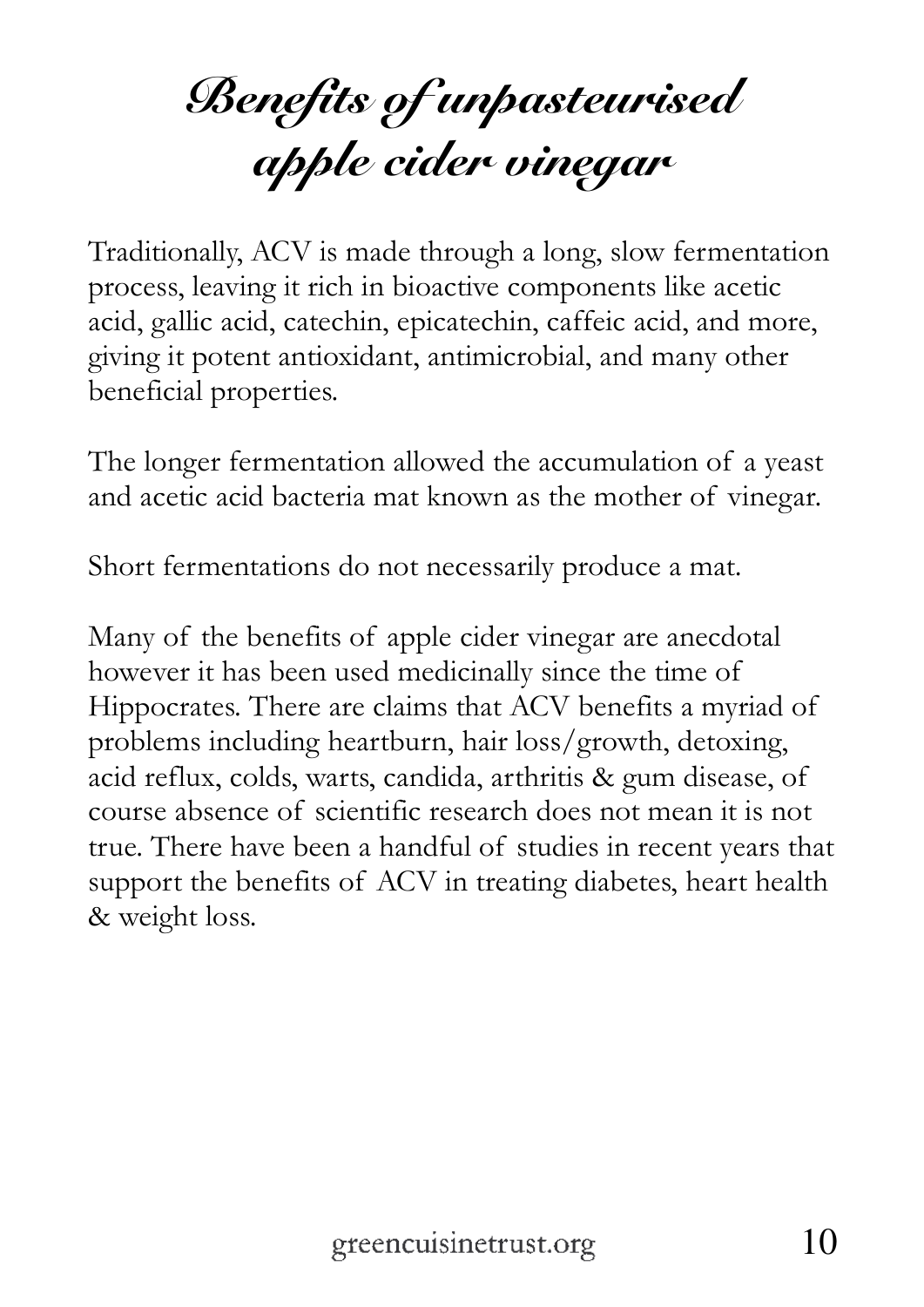# Benefits of unpasteurised apple cider vinegar

Traditionally, ACV is made through a long, slow fermentation process, leaving it rich in bioactive components like acetic acid, gallic acid, catechin, epicatechin, caffeic acid, and more, giving it potent antioxidant, antimicrobial, and many other beneficial properties.

The longer fermentation allowed the accumulation of a yeast and acetic acid bacteria mat known as the mother of vinegar.

Short fermentations do not necessarily produce a mat.

Many of the benefits of apple cider vinegar are anecdotal however it has been used medicinally since the time of Hippocrates. There are claims that ACV benefits a myriad of problems including heartburn, hair loss/growth, detoxing, acid reflux, colds, warts, candida, arthritis & gum disease, of course absence of scientific research does not mean it is not true. There have been a handful of studies in recent years that support the benefits of ACV in treating diabetes, heart health & weight loss.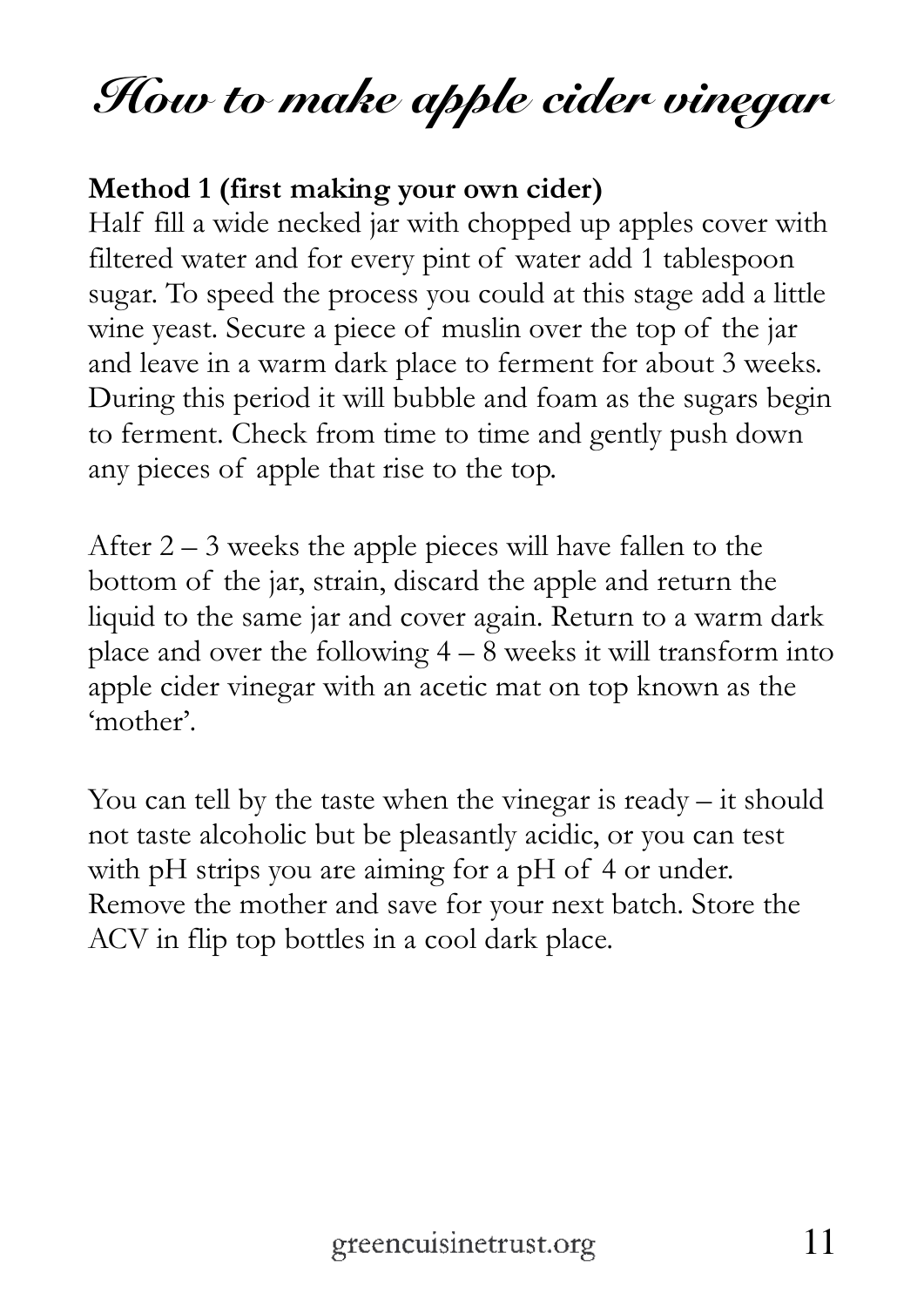# How to make apple cider vinegar

### Method 1 (first making your own cider)

Half fill a wide necked jar with chopped up apples cover with filtered water and for every pint of water add 1 tablespoon sugar. To speed the process you could at this stage add a little wine yeast. Secure a piece of muslin over the top of the jar and leave in a warm dark place to ferment for about 3 weeks. During this period it will bubble and foam as the sugars begin to ferment. Check from time to time and gently push down any pieces of apple that rise to the top.

After 2 – 3 weeks the apple pieces will have fallen to the bottom of the jar, strain, discard the apple and return the liquid to the same jar and cover again. Return to a warm dark place and over the following 4 – 8 weeks it will transform into apple cider vinegar with an acetic mat on top known as the 'mother'.

You can tell by the taste when the vinegar is ready – it should not taste alcoholic but be pleasantly acidic, or you can test with pH strips you are aiming for a pH of 4 or under. Remove the mother and save for your next batch. Store the ACV in flip top bottles in a cool dark place.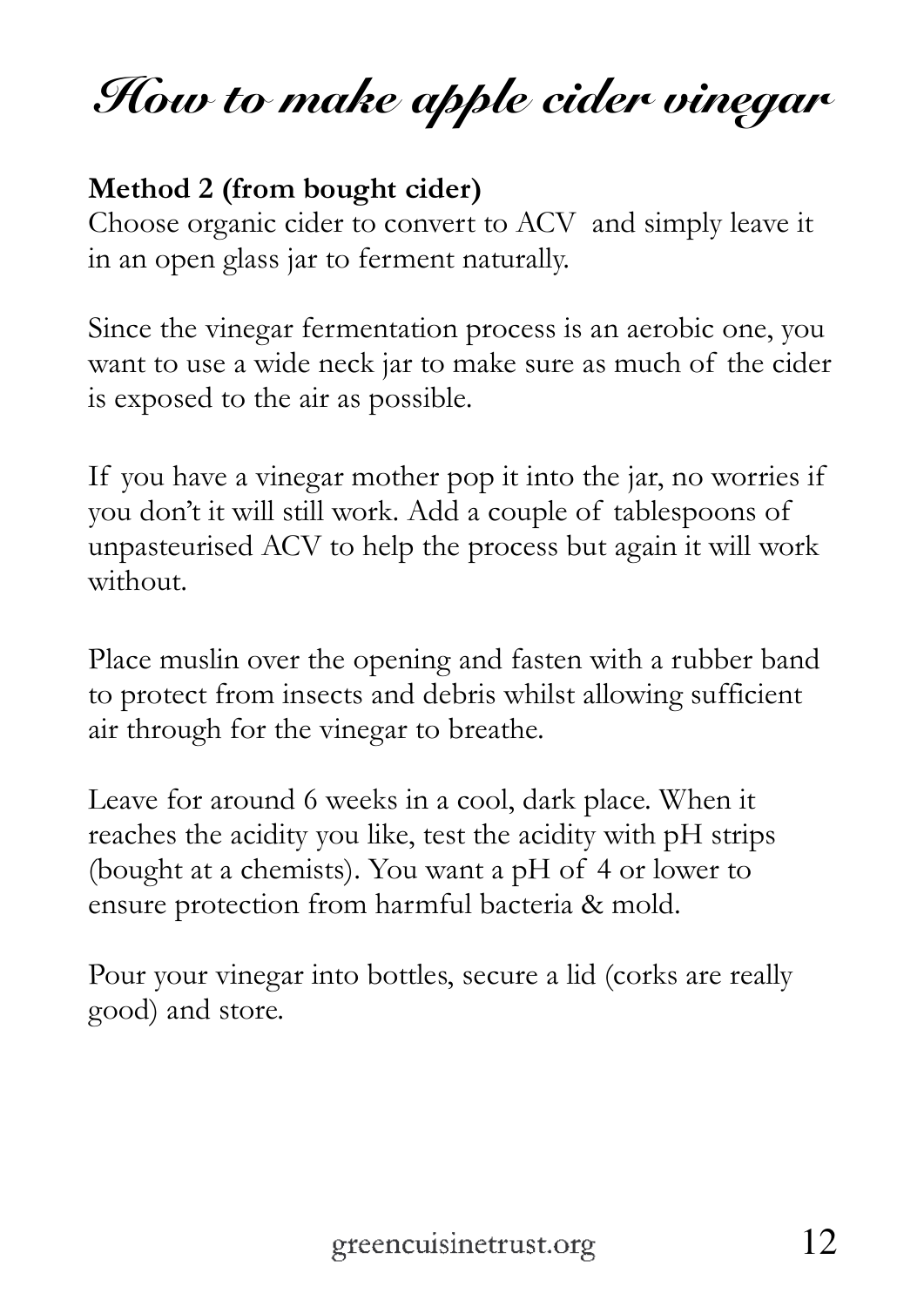# How to make apple cider vinegar

### Method 2 (from bought cider)

Choose organic cider to convert to ACV and simply leave it in an open glass jar to ferment naturally.

Since the vinegar fermentation process is an aerobic one, you want to use a wide neck jar to make sure as much of the cider is exposed to the air as possible.

If you have a vinegar mother pop it into the jar, no worries if you don't it will still work. Add a couple of tablespoons of unpasteurised ACV to help the process but again it will work without.

Place muslin over the opening and fasten with a rubber band to protect from insects and debris whilst allowing sufficient air through for the vinegar to breathe.

Leave for around 6 weeks in a cool, dark place. When it reaches the acidity you like, test the acidity with pH strips (bought at a chemists). You want a pH of 4 or lower to ensure protection from harmful bacteria & mold.

Pour your vinegar into bottles, secure a lid (corks are really good) and store.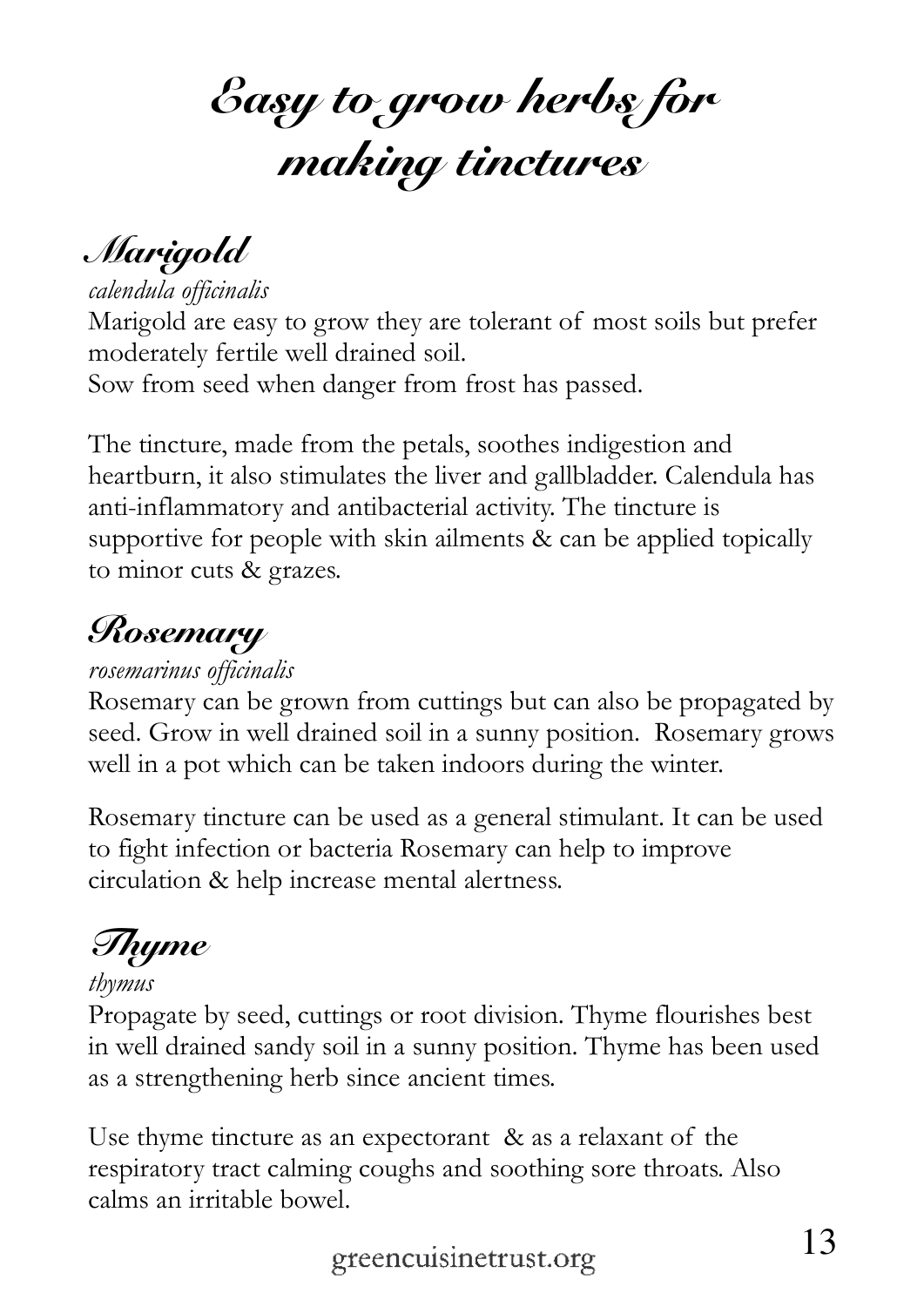Easy to grow herbs for making tinctures

### Marigold

calendula officinalis Marigold are easy to grow they are tolerant of most soils but prefer moderately fertile well drained soil. Sow from seed when danger from frost has passed.

The tincture, made from the petals, soothes indigestion and heartburn, it also stimulates the liver and gallbladder. Calendula has anti-inflammatory and antibacterial activity. The tincture is supportive for people with skin ailments & can be applied topically to minor cuts & grazes.

# Rosemary

### rosemarinus officinalis

Rosemary can be grown from cuttings but can also be propagated by seed. Grow in well drained soil in a sunny position. Rosemary grows well in a pot which can be taken indoors during the winter.

Rosemary tincture can be used as a general stimulant. It can be used to fight infection or bacteria Rosemary can help to improve circulation & help increase mental alertness.

# Thyme

#### thymus

Propagate by seed, cuttings or root division. Thyme flourishes best in well drained sandy soil in a sunny position. Thyme has been used as a strengthening herb since ancient times.

Use thyme tincture as an expectorant & as a relaxant of the respiratory tract calming coughs and soothing sore throats. Also calms an irritable bowel.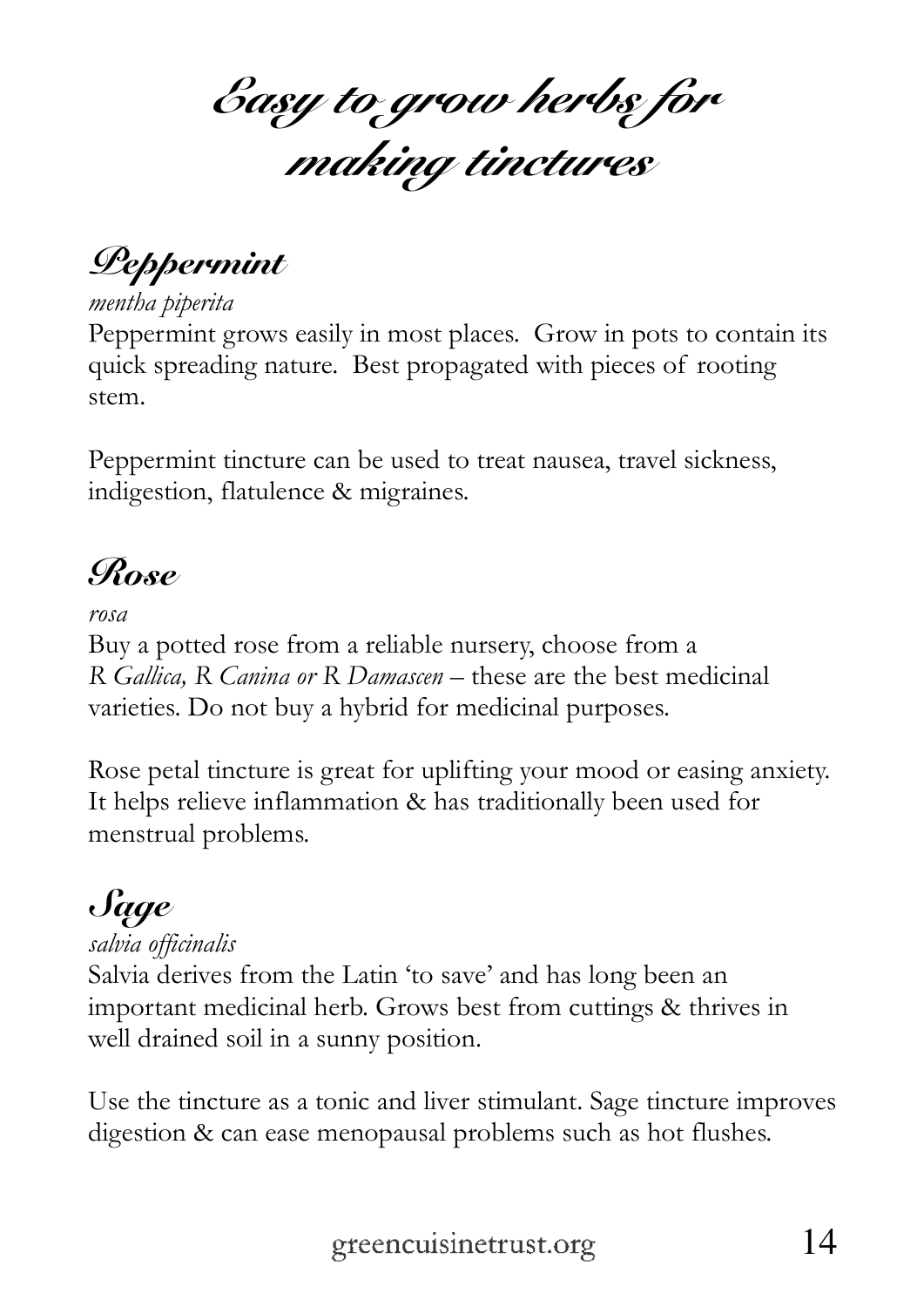Easy to grow herbs for making tinctures

Peppermint

#### mentha piperita

Peppermint grows easily in most places. Grow in pots to contain its quick spreading nature. Best propagated with pieces of rooting stem.

Peppermint tincture can be used to treat nausea, travel sickness, indigestion, flatulence & migraines.

Rose

#### rosa

Buy a potted rose from a reliable nursery, choose from a R Gallica, R Canina or R Damascen – these are the best medicinal varieties. Do not buy a hybrid for medicinal purposes.

Rose petal tincture is great for uplifting your mood or easing anxiety. It helps relieve inflammation & has traditionally been used for menstrual problems.

## Sage

#### salvia officinalis

Salvia derives from the Latin 'to save' and has long been an important medicinal herb. Grows best from cuttings & thrives in well drained soil in a sunny position.

Use the tincture as a tonic and liver stimulant. Sage tincture improves digestion & can ease menopausal problems such as hot flushes.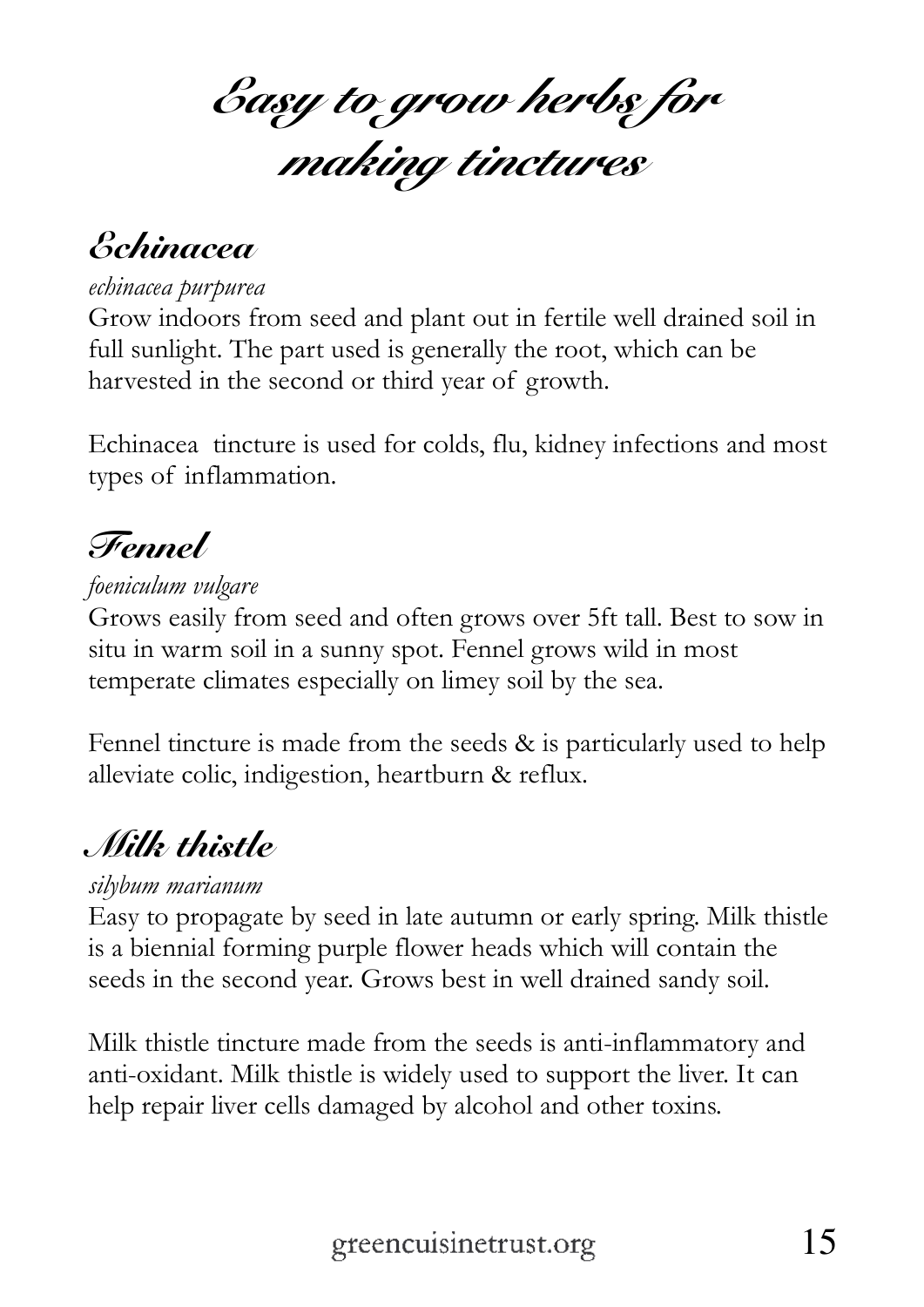Easy to grow herbs for making tinctures

### Echinacea

#### echinacea purpurea

Grow indoors from seed and plant out in fertile well drained soil in full sunlight. The part used is generally the root, which can be harvested in the second or third year of growth.

Echinacea tincture is used for colds, flu, kidney infections and most types of inflammation.

## Fennel

### foeniculum vulgare

Grows easily from seed and often grows over 5ft tall. Best to sow in situ in warm soil in a sunny spot. Fennel grows wild in most temperate climates especially on limey soil by the sea.

Fennel tincture is made from the seeds & is particularly used to help alleviate colic, indigestion, heartburn & reflux.

## Milk thistle

### silybum marianum

Easy to propagate by seed in late autumn or early spring. Milk thistle is a biennial forming purple flower heads which will contain the seeds in the second year. Grows best in well drained sandy soil.

Milk thistle tincture made from the seeds is anti-inflammatory and anti-oxidant. Milk thistle is widely used to support the liver. It can help repair liver cells damaged by alcohol and other toxins.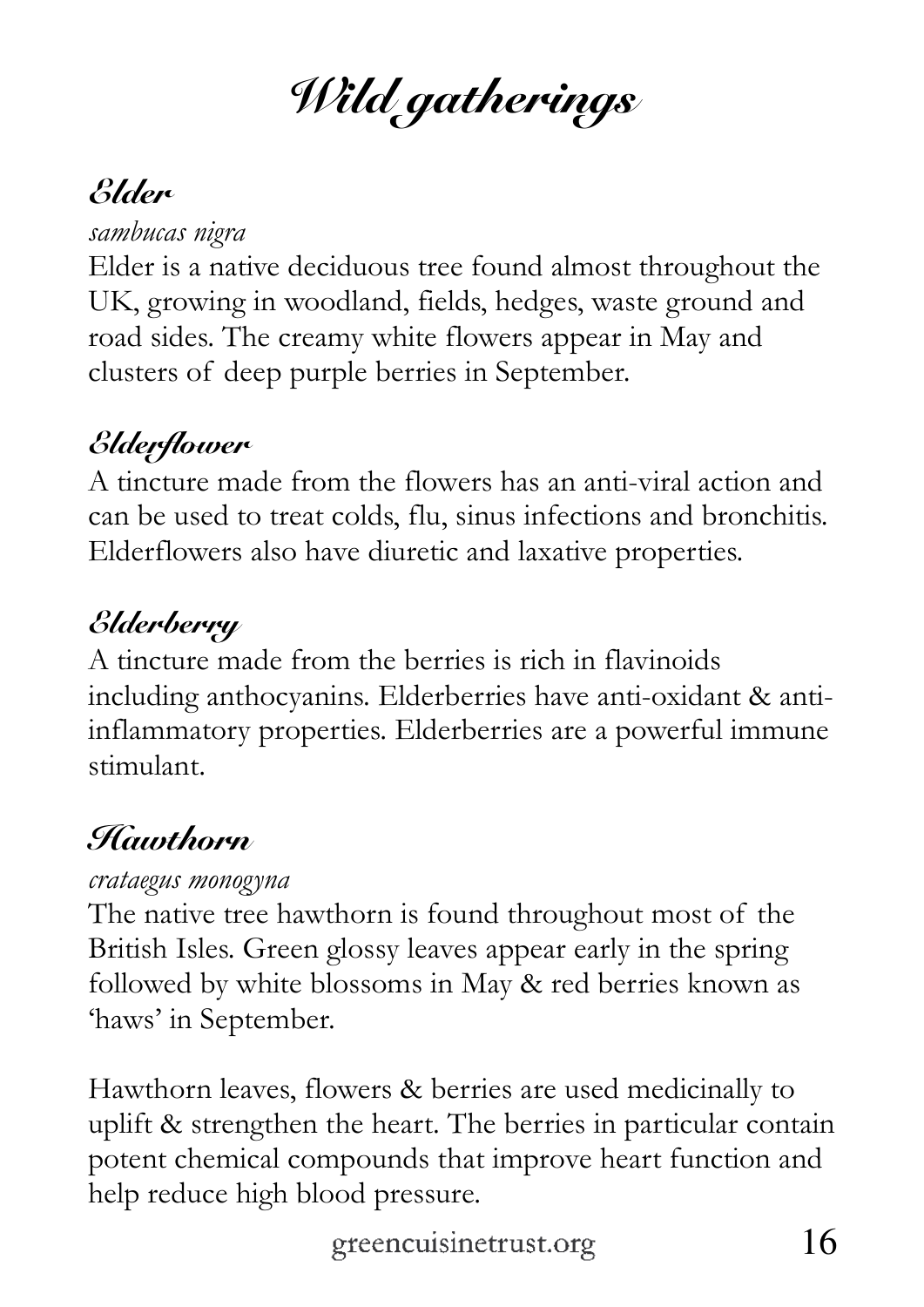Wild gatherings

### Elder

sambucas nigra

Elder is a native deciduous tree found almost throughout the UK, growing in woodland, fields, hedges, waste ground and road sides. The creamy white flowers appear in May and clusters of deep purple berries in September.

### Elderflower

A tincture made from the flowers has an anti-viral action and can be used to treat colds, flu, sinus infections and bronchitis. Elderflowers also have diuretic and laxative properties.

### Elderberry

A tincture made from the berries is rich in flavinoids including anthocyanins. Elderberries have anti-oxidant & antiinflammatory properties. Elderberries are a powerful immune stimulant.

## Hawthorn

### crataegus monogyna

The native tree hawthorn is found throughout most of the British Isles. Green glossy leaves appear early in the spring followed by white blossoms in May & red berries known as 'haws' in September.

Hawthorn leaves, flowers & berries are used medicinally to uplift & strengthen the heart. The berries in particular contain potent chemical compounds that improve heart function and help reduce high blood pressure.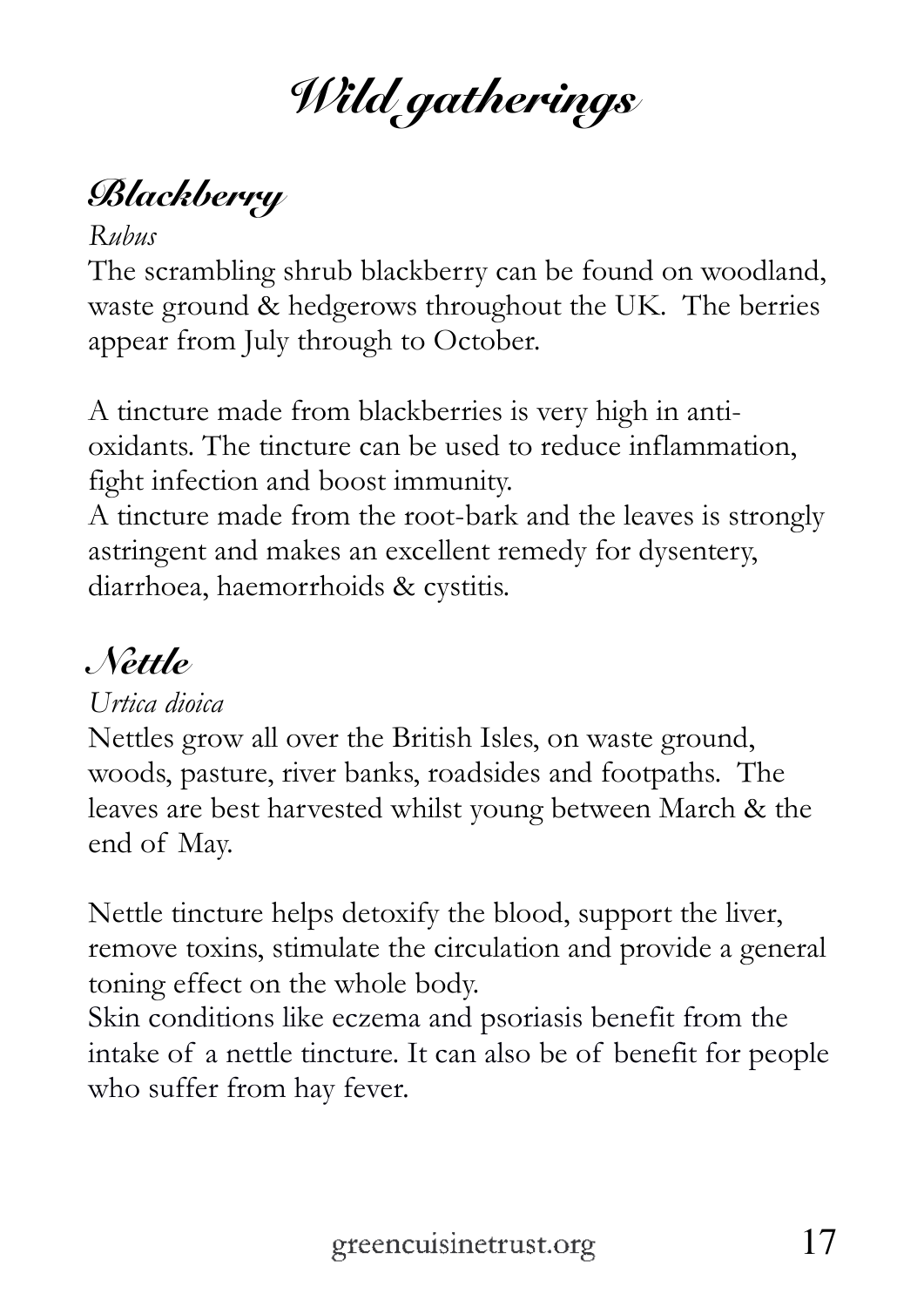Wild gatherings

## Blackberry

### Rubus

The scrambling shrub blackberry can be found on woodland, waste ground & hedgerows throughout the UK. The berries appear from July through to October.

A tincture made from blackberries is very high in antioxidants. The tincture can be used to reduce inflammation, fight infection and boost immunity.

A tincture made from the root-bark and the leaves is strongly astringent and makes an excellent remedy for dysentery, diarrhoea, haemorrhoids & cystitis.

## Nettle

### Urtica dioica

Nettles grow all over the British Isles, on waste ground, woods, pasture, river banks, roadsides and footpaths. The leaves are best harvested whilst young between March & the end of May.

Nettle tincture helps detoxify the blood, support the liver, remove toxins, stimulate the circulation and provide a general toning effect on the whole body.

Skin conditions like eczema and psoriasis benefit from the intake of a nettle tincture. It can also be of benefit for people who suffer from hay fever.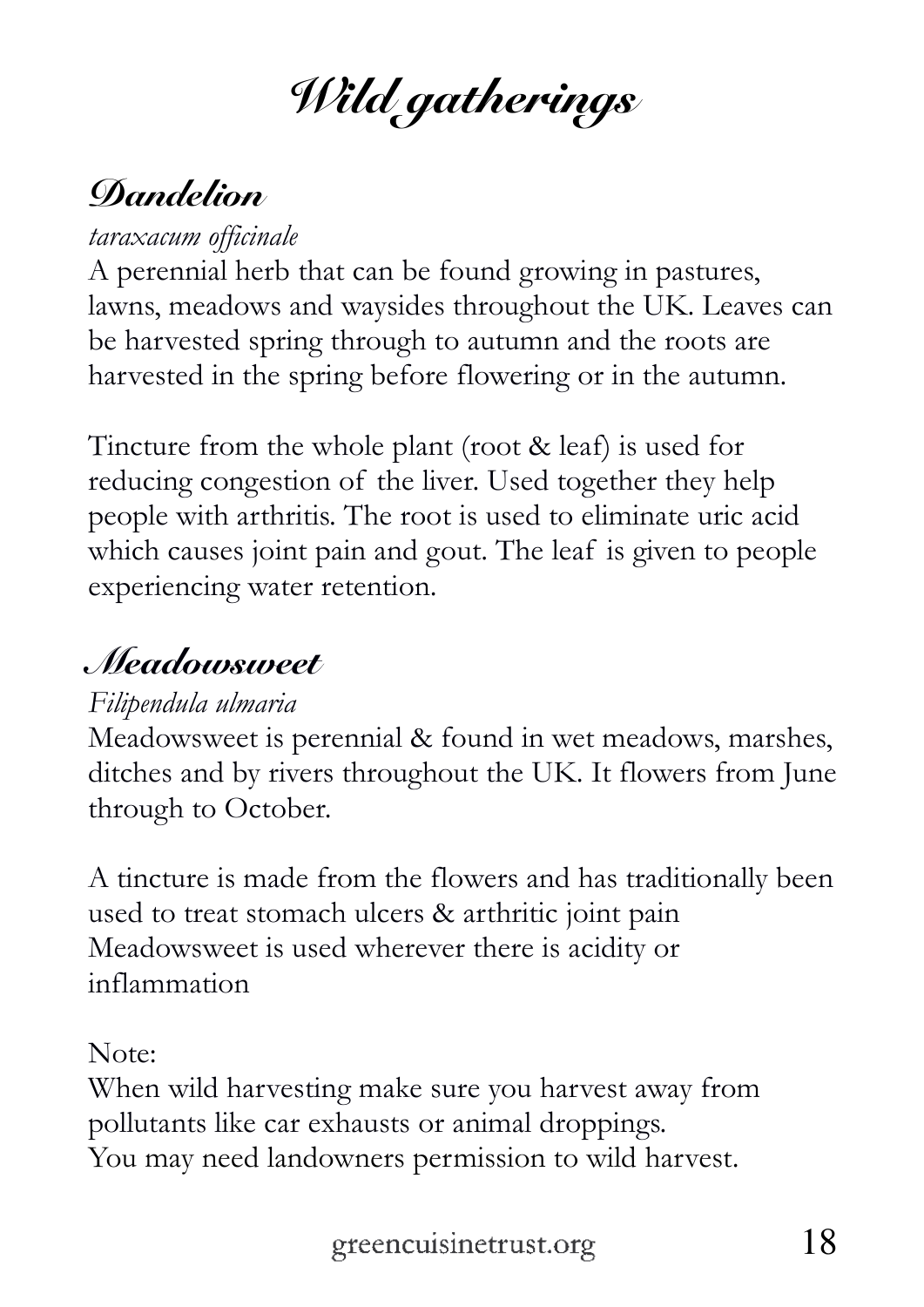Wild gatherings

### Dandelion

### taraxacum officinale

A perennial herb that can be found growing in pastures, lawns, meadows and waysides throughout the UK. Leaves can be harvested spring through to autumn and the roots are harvested in the spring before flowering or in the autumn.

Tincture from the whole plant (root & leaf) is used for reducing congestion of the liver. Used together they help people with arthritis. The root is used to eliminate uric acid which causes joint pain and gout. The leaf is given to people experiencing water retention.

### Meadowsweet

### Filipendula ulmaria

Meadowsweet is perennial & found in wet meadows, marshes, ditches and by rivers throughout the UK. It flowers from June through to October.

A tincture is made from the flowers and has traditionally been used to treat stomach ulcers & arthritic joint pain Meadowsweet is used wherever there is acidity or inflammation

Note:

When wild harvesting make sure you harvest away from pollutants like car exhausts or animal droppings. You may need landowners permission to wild harvest.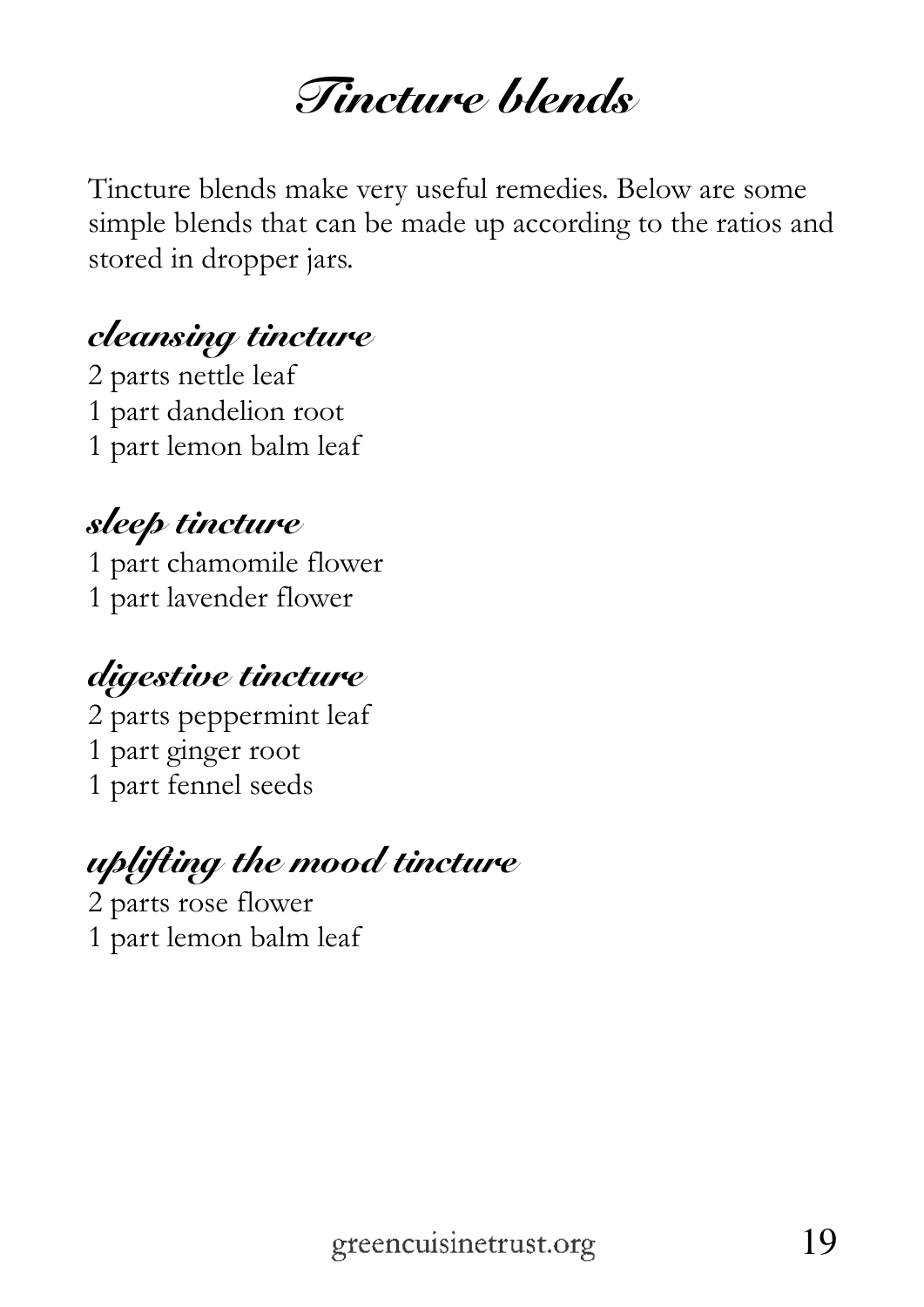# Tincture blends

Tincture blends make very useful remedies. Below are some simple blends that can be made up according to the ratios and stored in dropper jars.

### cleansing tincture

2 parts nettle leaf 1 part dandelion root 1 part lemon balm leaf

### sleep tincture

1 part chamomile flower 1 part lavender flower

## digestive tincture

2 parts peppermint leaf 1 part ginger root 1 part fennel seeds

uplifting the mood tincture

2 parts rose flower 1 part lemon balm leaf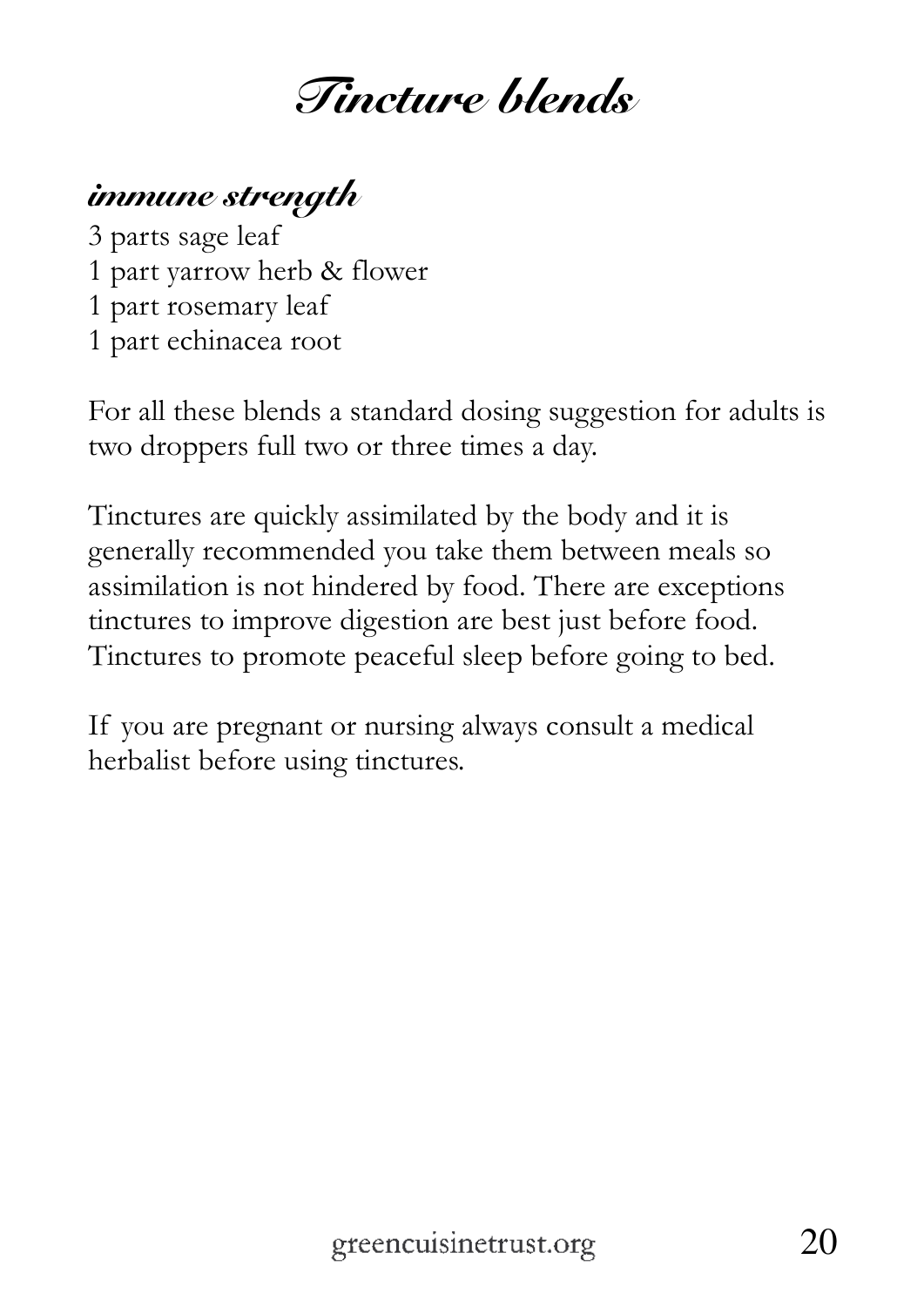# Tincture blends

### immune strength

3 parts sage leaf 1 part yarrow herb & flower 1 part rosemary leaf 1 part echinacea root

For all these blends a standard dosing suggestion for adults is two droppers full two or three times a day.

Tinctures are quickly assimilated by the body and it is generally recommended you take them between meals so assimilation is not hindered by food. There are exceptions tinctures to improve digestion are best just before food. Tinctures to promote peaceful sleep before going to bed.

If you are pregnant or nursing always consult a medical herbalist before using tinctures.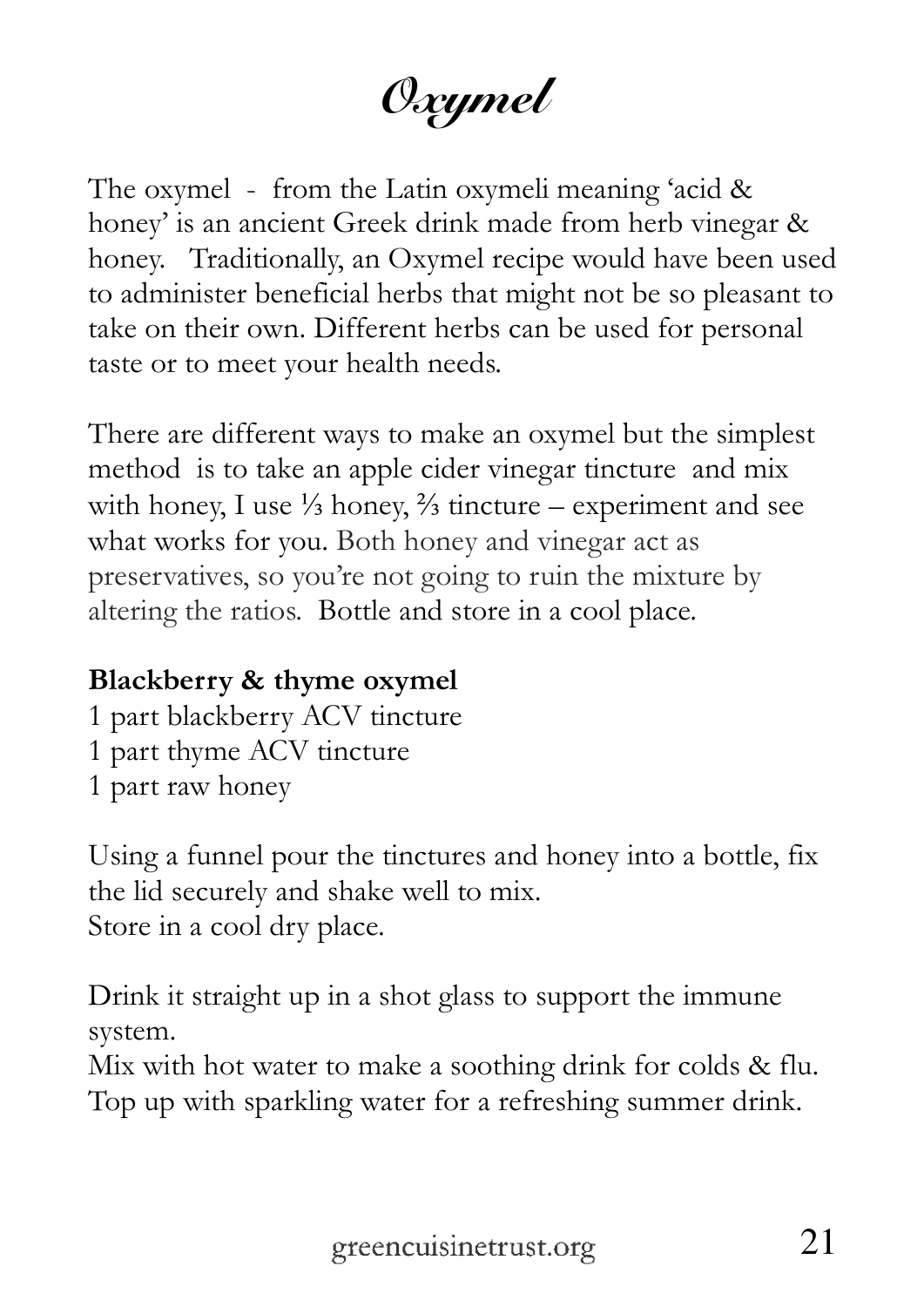Oxymel

The oxymel - from the Latin oxymeli meaning 'acid & honey' is an ancient Greek drink made from herb vinegar & honey. Traditionally, an Oxymel recipe would have been used to administer beneficial herbs that might not be so pleasant to take on their own. Different herbs can be used for personal taste or to meet your health needs.

There are different ways to make an oxymel but the simplest method is to take an apple cider vinegar tincture and mix with honey, I use ⅓ honey, ⅔ tincture – experiment and see what works for you. Both honey and vinegar act as preservatives, so you're not going to ruin the mixture by altering the ratios. Bottle and store in a cool place.

### Blackberry & thyme oxymel

1 part blackberry ACV tincture 1 part thyme ACV tincture 1 part raw honey

Using a funnel pour the tinctures and honey into a bottle, fix the lid securely and shake well to mix. Store in a cool dry place.

Drink it straight up in a shot glass to support the immune system.

Mix with hot water to make a soothing drink for colds & flu. Top up with sparkling water for a refreshing summer drink.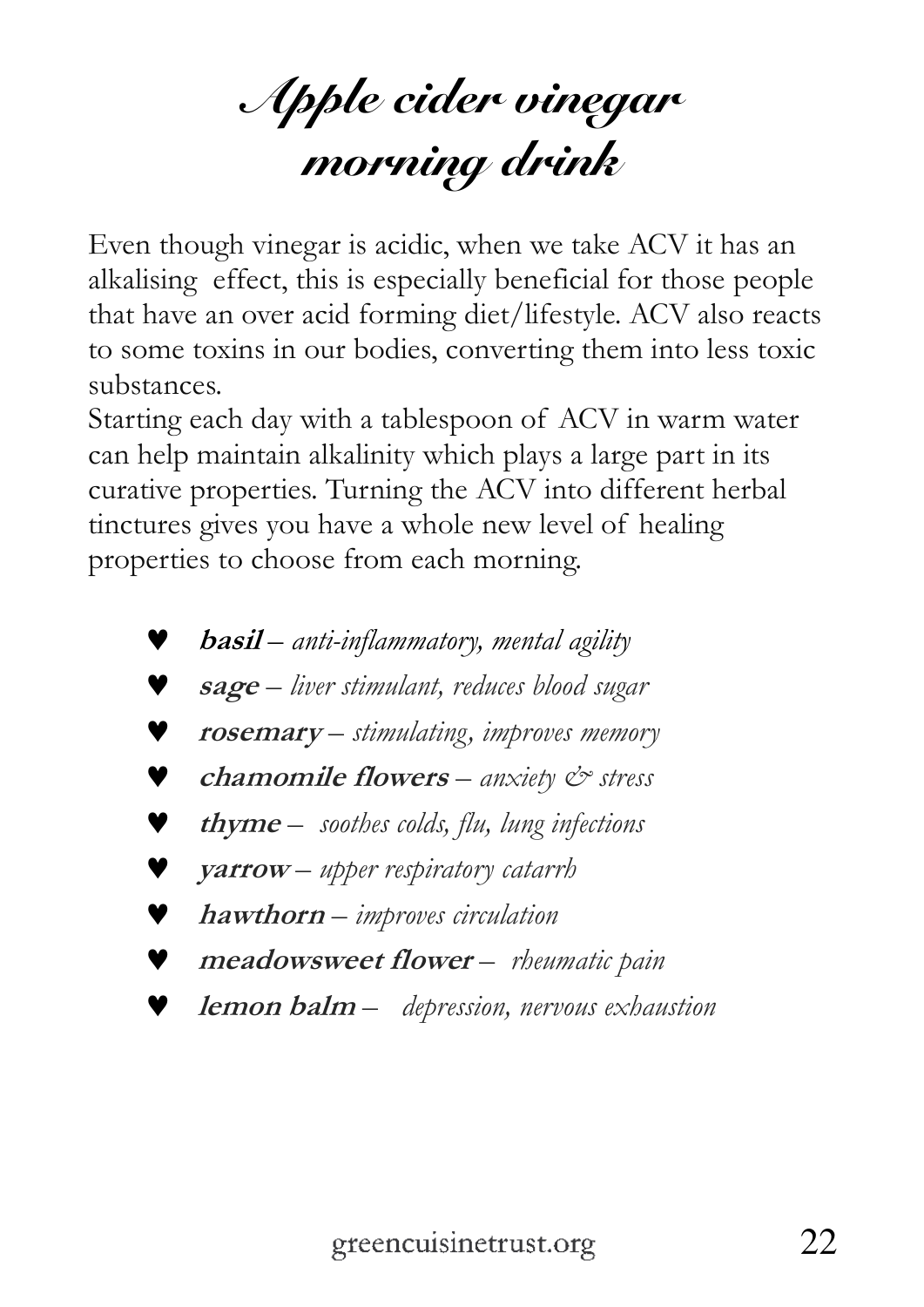Apple cider vinegar morning drink

Even though vinegar is acidic, when we take ACV it has an alkalising effect, this is especially beneficial for those people that have an over acid forming diet/lifestyle. ACV also reacts to some toxins in our bodies, converting them into less toxic substances.

Starting each day with a tablespoon of ACV in warm water can help maintain alkalinity which plays a large part in its curative properties. Turning the ACV into different herbal tinctures gives you have a whole new level of healing properties to choose from each morning.

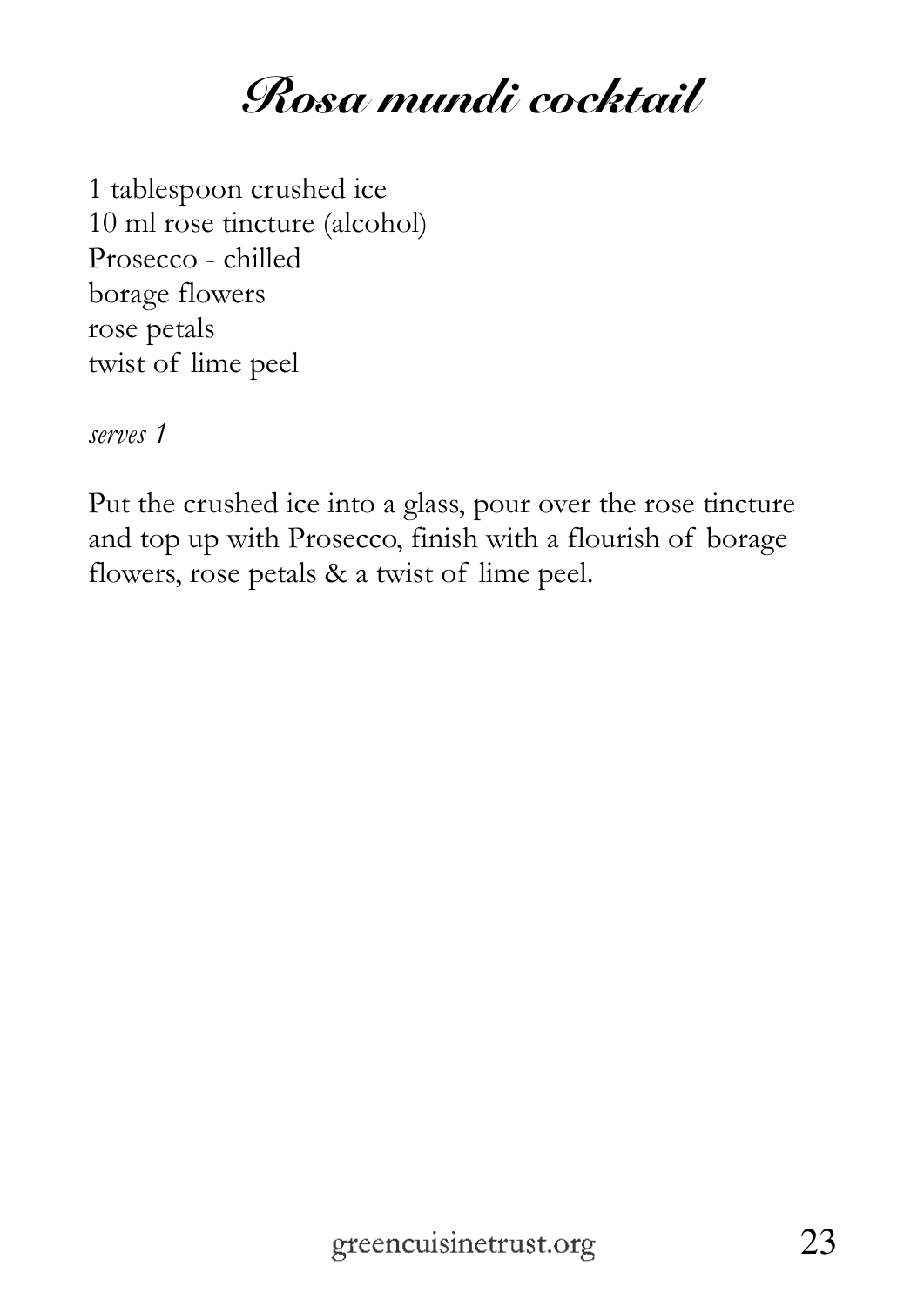Rosa mundi cocktail

1 tablespoon crushed ice 10 ml rose tincture (alcohol) Prosecco - chilled borage flowers rose petals twist of lime peel

serves 1

Put the crushed ice into a glass, pour over the rose tincture and top up with Prosecco, finish with a flourish of borage flowers, rose petals & a twist of lime peel.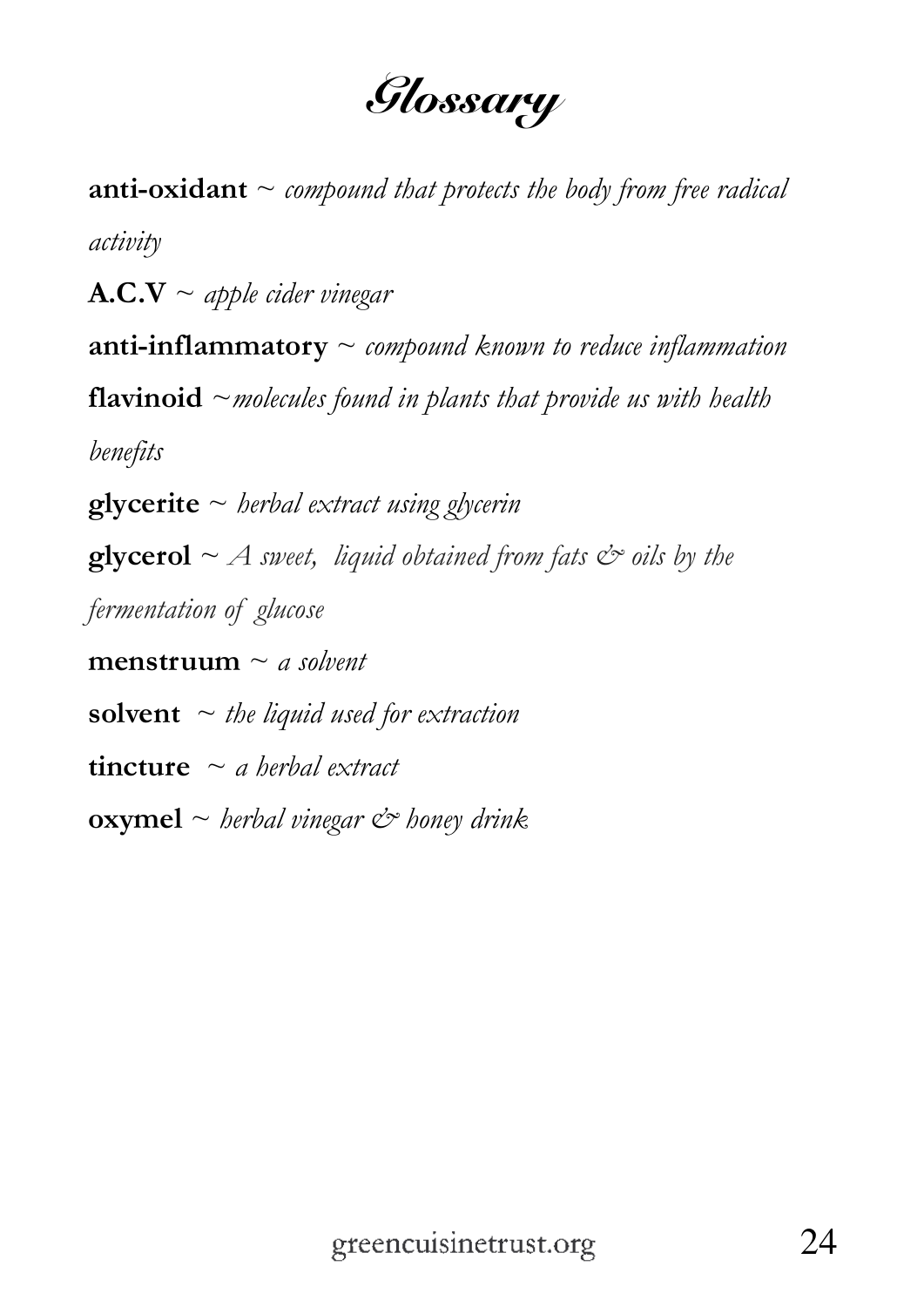Glossary

anti-oxidant  $\sim$  compound that protects the body from free radical activity  $A.C.V \sim apple$  cider vinegar anti-inflammatory  $\sim$  compound known to reduce inflammation flavinoid  $\sim$  molecules found in plants that provide us with health benefits **glycerite**  $\sim$  herbal extract using glycerin **glycerol**  $\sim$  A sweet, liquid obtained from fats  $\dot{\mathcal{C}}$  oils by the

fermentation of glucose

menstruum  $\sim$  a solvent

solvent  $\sim$  the liquid used for extraction

tincture  $\sim$  a herbal extract

**oxymel**  $\sim$  herbal vinegar  $\breve{c}$  honey drink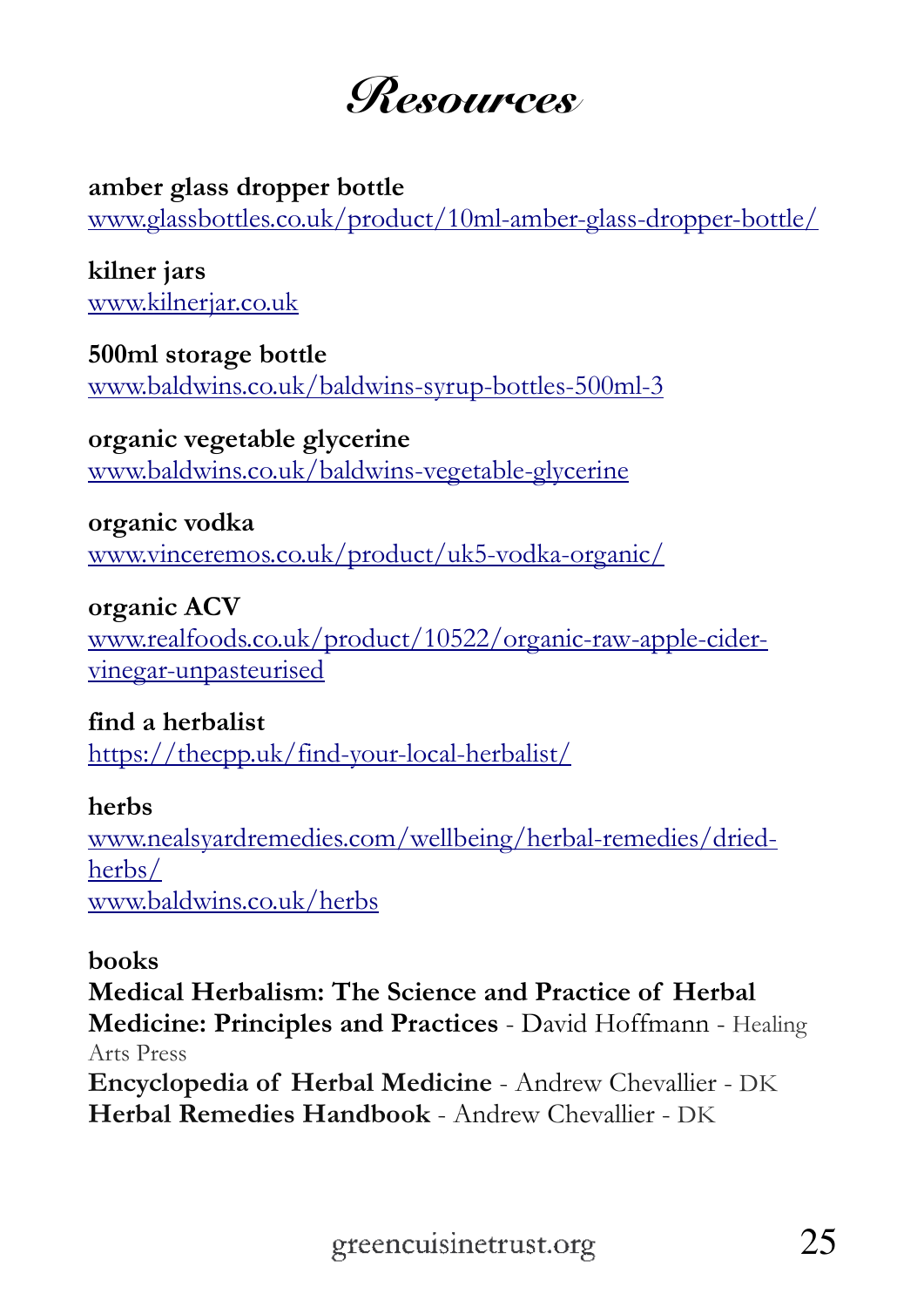

amber glass dropper bottle www.glassbottles.co.uk/product/10ml-amber-glass-dropper-bottle/

kilner jars www.kilnerjar.co.uk

500ml storage bottle www.baldwins.co.uk/baldwins-syrup-bottles-500ml-3

organic vegetable glycerine www.baldwins.co.uk/baldwins-vegetable-glycerine

organic vodka www.vinceremos.co.uk/product/uk5-vodka-organic/

organic ACV www.realfoods.co.uk/product/10522/organic-raw-apple-cidervinegar-unpasteurised

find a herbalist https://thecpp.uk/find-your-local-herbalist/

herbs www.nealsyardremedies.com/wellbeing/herbal-remedies/driedherbs/ www.baldwins.co.uk/herbs

books Medical Herbalism: The Science and Practice of Herbal Medicine: Principles and Practices - David Hoffmann - Healing Arts Press Encyclopedia of Herbal Medicine - Andrew Chevallier - DK Herbal Remedies Handbook - Andrew Chevallier - DK